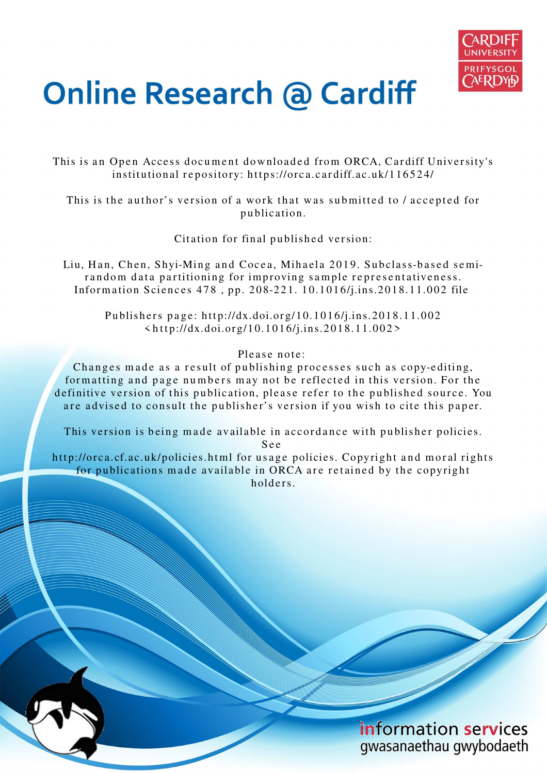

# **Online Research @ Cardiff**

This is an Open Access document downloaded from ORCA, Cardiff University's institutional repository: https://orca.cardiff.ac.uk/116524/

This is the author's version of a work that was submitted to / accepted for p u blication.

Citation for final published version:

Liu, Han, Chen, Shyi-Ming and Cocea, Mihaela 2019. Subclass-based semirandom data partitioning for improving sample representativeness. Information Sciences 478, pp. 208-221. 10.1016/j.ins.2018.11.002 file

> Publishers page: http://dx.doi.org/10.1016/j.ins.2018.11.002  $\langle \text{http://dx.doi.org/10.1016/j.ins.2018.11.002>}$

> > Please note:

Changes made as a result of publishing processes such as copy-editing, formatting and page numbers may not be reflected in this version. For the definitive version of this publication, please refer to the published source. You are advised to consult the publisher's version if you wish to cite this paper.

This version is being made available in accordance with publisher policies.

S e e

http://orca.cf.ac.uk/policies.html for usage policies. Copyright and moral rights for publications made available in ORCA are retained by the copyright holders.

> information services gwasanaethau gwybodaeth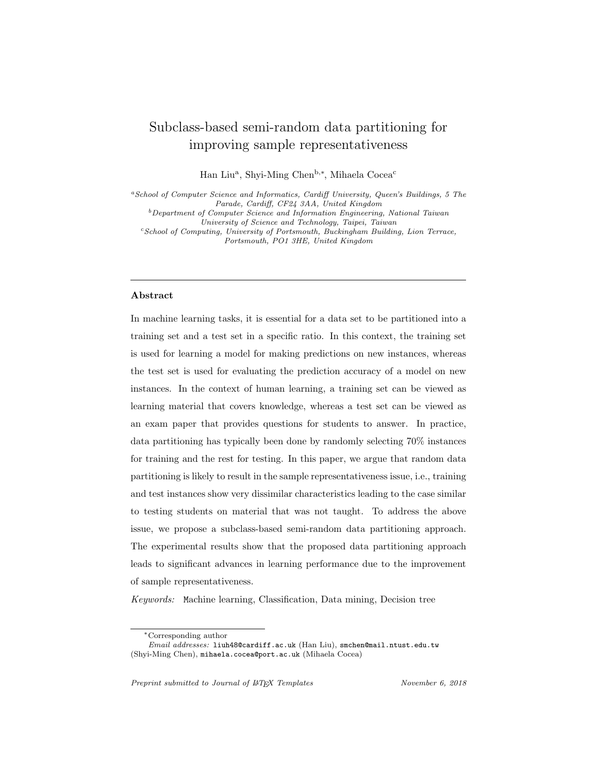# Subclass-based semi-random data partitioning for improving sample representativeness

Han Liu<sup>a</sup>, Shyi-Ming Chen<sup>b,\*</sup>, Mihaela Cocea<sup>c</sup>

 ${}^{a}$ School of Computer Science and Informatics, Cardiff University, Queen's Buildings, 5 The Parade, Cardiff, CF24 3AA, United Kingdom

<sup>b</sup>Department of Computer Science and Information Engineering, National Taiwan

University of Science and Technology, Taipei, Taiwan <sup>c</sup>School of Computing, University of Portsmouth, Buckingham Building, Lion Terrace,

Portsmouth, PO1 3HE, United Kingdom

# Abstract

In machine learning tasks, it is essential for a data set to be partitioned into a training set and a test set in a specific ratio. In this context, the training set is used for learning a model for making predictions on new instances, whereas the test set is used for evaluating the prediction accuracy of a model on new instances. In the context of human learning, a training set can be viewed as learning material that covers knowledge, whereas a test set can be viewed as an exam paper that provides questions for students to answer. In practice, data partitioning has typically been done by randomly selecting 70% instances for training and the rest for testing. In this paper, we argue that random data partitioning is likely to result in the sample representativeness issue, i.e., training and test instances show very dissimilar characteristics leading to the case similar to testing students on material that was not taught. To address the above issue, we propose a subclass-based semi-random data partitioning approach. The experimental results show that the proposed data partitioning approach leads to significant advances in learning performance due to the improvement of sample representativeness.

Keywords: Machine learning, Classification, Data mining, Decision tree

Preprint submitted to Journal of  $\mu$ <sub>TF</sub>X Templates November 6, 2018

<sup>∗</sup>Corresponding author

Email addresses: liuh48@cardiff.ac.uk (Han Liu), smchen@mail.ntust.edu.tw (Shyi-Ming Chen), mihaela.cocea@port.ac.uk (Mihaela Cocea)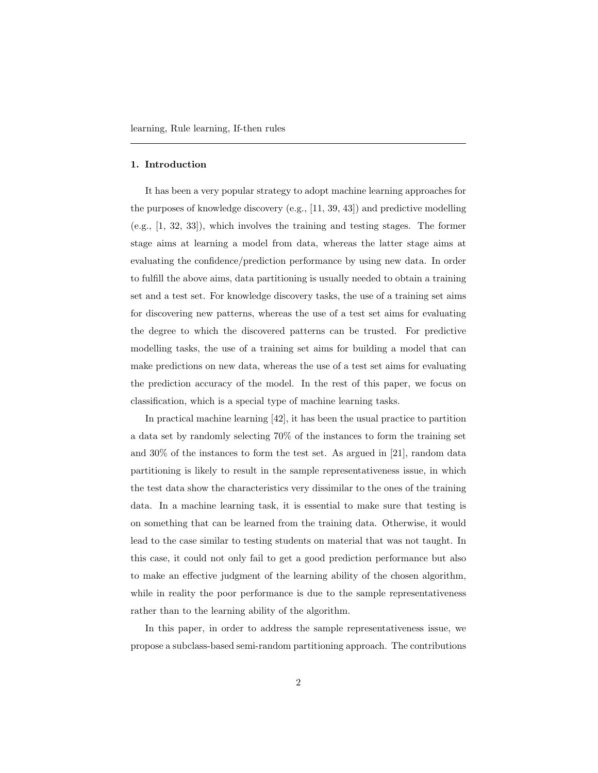#### 1. Introduction

It has been a very popular strategy to adopt machine learning approaches for the purposes of knowledge discovery (e.g., [11, 39, 43]) and predictive modelling (e.g., [1, 32, 33]), which involves the training and testing stages. The former stage aims at learning a model from data, whereas the latter stage aims at evaluating the confidence/prediction performance by using new data. In order to fulfill the above aims, data partitioning is usually needed to obtain a training set and a test set. For knowledge discovery tasks, the use of a training set aims for discovering new patterns, whereas the use of a test set aims for evaluating the degree to which the discovered patterns can be trusted. For predictive modelling tasks, the use of a training set aims for building a model that can make predictions on new data, whereas the use of a test set aims for evaluating the prediction accuracy of the model. In the rest of this paper, we focus on classification, which is a special type of machine learning tasks.

In practical machine learning [42], it has been the usual practice to partition a data set by randomly selecting 70% of the instances to form the training set and 30% of the instances to form the test set. As argued in [21], random data partitioning is likely to result in the sample representativeness issue, in which the test data show the characteristics very dissimilar to the ones of the training data. In a machine learning task, it is essential to make sure that testing is on something that can be learned from the training data. Otherwise, it would lead to the case similar to testing students on material that was not taught. In this case, it could not only fail to get a good prediction performance but also to make an effective judgment of the learning ability of the chosen algorithm, while in reality the poor performance is due to the sample representativeness rather than to the learning ability of the algorithm.

In this paper, in order to address the sample representativeness issue, we propose a subclass-based semi-random partitioning approach. The contributions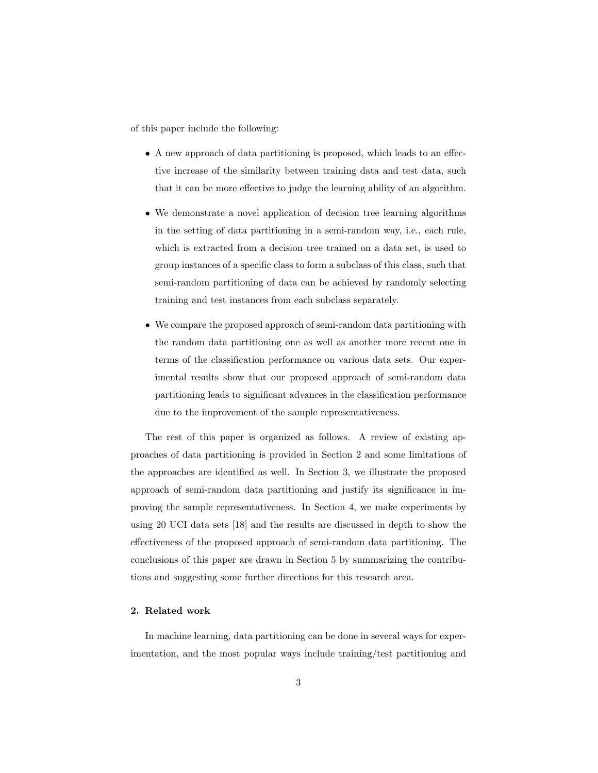of this paper include the following:

- A new approach of data partitioning is proposed, which leads to an effective increase of the similarity between training data and test data, such that it can be more effective to judge the learning ability of an algorithm.
- We demonstrate a novel application of decision tree learning algorithms in the setting of data partitioning in a semi-random way, i.e., each rule, which is extracted from a decision tree trained on a data set, is used to group instances of a specific class to form a subclass of this class, such that semi-random partitioning of data can be achieved by randomly selecting training and test instances from each subclass separately.
- We compare the proposed approach of semi-random data partitioning with the random data partitioning one as well as another more recent one in terms of the classification performance on various data sets. Our experimental results show that our proposed approach of semi-random data partitioning leads to significant advances in the classification performance due to the improvement of the sample representativeness.

The rest of this paper is organized as follows. A review of existing approaches of data partitioning is provided in Section 2 and some limitations of the approaches are identified as well. In Section 3, we illustrate the proposed approach of semi-random data partitioning and justify its significance in improving the sample representativeness. In Section 4, we make experiments by using 20 UCI data sets [18] and the results are discussed in depth to show the effectiveness of the proposed approach of semi-random data partitioning. The conclusions of this paper are drawn in Section 5 by summarizing the contributions and suggesting some further directions for this research area.

# 2. Related work

In machine learning, data partitioning can be done in several ways for experimentation, and the most popular ways include training/test partitioning and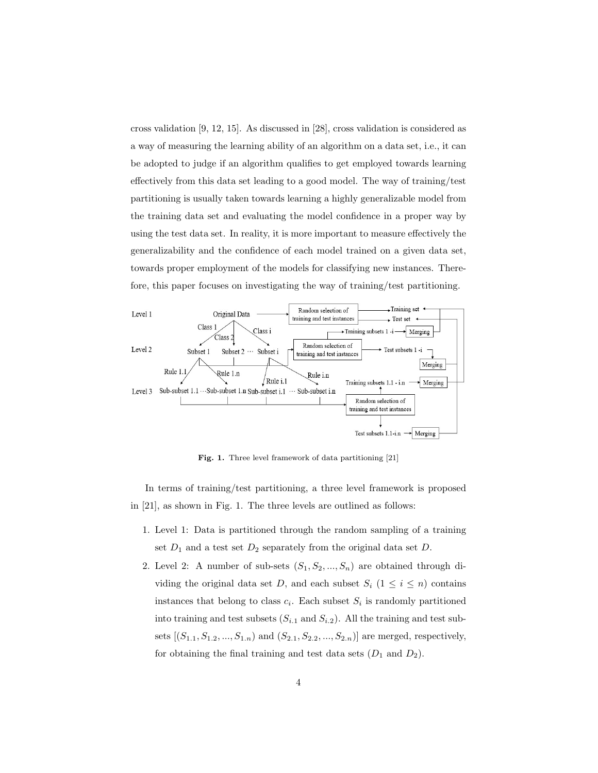cross validation [9, 12, 15]. As discussed in [28], cross validation is considered as a way of measuring the learning ability of an algorithm on a data set, i.e., it can be adopted to judge if an algorithm qualifies to get employed towards learning effectively from this data set leading to a good model. The way of training/test partitioning is usually taken towards learning a highly generalizable model from the training data set and evaluating the model confidence in a proper way by using the test data set. In reality, it is more important to measure effectively the generalizability and the confidence of each model trained on a given data set, towards proper employment of the models for classifying new instances. Therefore, this paper focuses on investigating the way of training/test partitioning.



Fig. 1. Three level framework of data partitioning [21]

In terms of training/test partitioning, a three level framework is proposed in [21], as shown in Fig. 1. The three levels are outlined as follows:

- 1. Level 1: Data is partitioned through the random sampling of a training set  $D_1$  and a test set  $D_2$  separately from the original data set  $D$ .
- 2. Level 2: A number of sub-sets  $(S_1, S_2, ..., S_n)$  are obtained through dividing the original data set D, and each subset  $S_i$  ( $1 \leq i \leq n$ ) contains instances that belong to class  $c_i$ . Each subset  $S_i$  is randomly partitioned into training and test subsets  $(S_{i.1} \text{ and } S_{i.2})$ . All the training and test subsets  $[(S_{1,1}, S_{1,2},..., S_{1,n})$  and  $(S_{2,1}, S_{2,2},..., S_{2,n})]$  are merged, respectively, for obtaining the final training and test data sets  $(D_1 \text{ and } D_2)$ .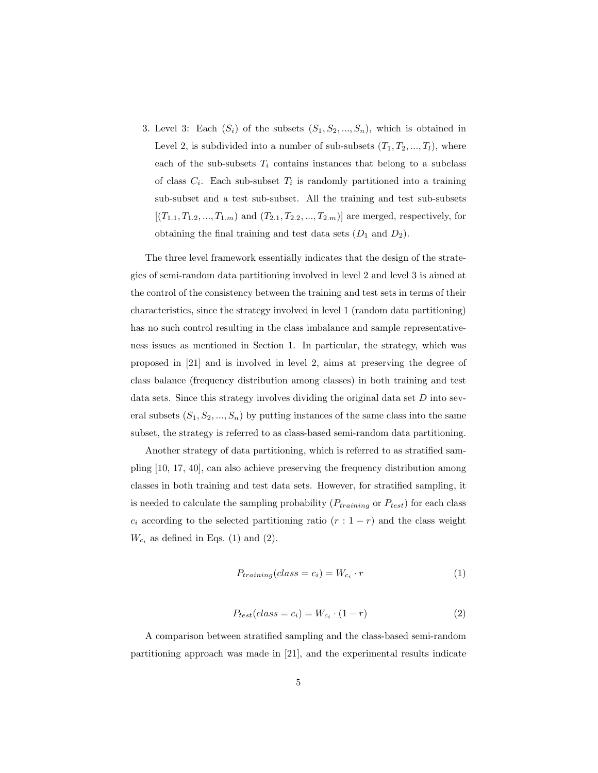3. Level 3: Each  $(S_i)$  of the subsets  $(S_1, S_2, ..., S_n)$ , which is obtained in Level 2, is subdivided into a number of sub-subsets  $(T_1, T_2, ..., T_l)$ , where each of the sub-subsets  $T_i$  contains instances that belong to a subclass of class  $C_i$ . Each sub-subset  $T_i$  is randomly partitioned into a training sub-subset and a test sub-subset. All the training and test sub-subsets  $[(T_{1.1}, T_{1.2}, ..., T_{1.m})$  and  $(T_{2.1}, T_{2.2}, ..., T_{2.m})]$  are merged, respectively, for obtaining the final training and test data sets  $(D_1 \text{ and } D_2)$ .

The three level framework essentially indicates that the design of the strategies of semi-random data partitioning involved in level 2 and level 3 is aimed at the control of the consistency between the training and test sets in terms of their characteristics, since the strategy involved in level 1 (random data partitioning) has no such control resulting in the class imbalance and sample representativeness issues as mentioned in Section 1. In particular, the strategy, which was proposed in [21] and is involved in level 2, aims at preserving the degree of class balance (frequency distribution among classes) in both training and test data sets. Since this strategy involves dividing the original data set  $D$  into several subsets  $(S_1, S_2, ..., S_n)$  by putting instances of the same class into the same subset, the strategy is referred to as class-based semi-random data partitioning.

Another strategy of data partitioning, which is referred to as stratified sampling [10, 17, 40], can also achieve preserving the frequency distribution among classes in both training and test data sets. However, for stratified sampling, it is needed to calculate the sampling probability  $(P_{training} \text{ or } P_{test})$  for each class  $c_i$  according to the selected partitioning ratio  $(r: 1-r)$  and the class weight  $W_{c_i}$  as defined in Eqs. (1) and (2).

$$
P_{training}(class = c_i) = W_{c_i} \cdot r \tag{1}
$$

$$
P_{test}(class = c_i) = W_{c_i} \cdot (1 - r)
$$
\n<sup>(2)</sup>

A comparison between stratified sampling and the class-based semi-random partitioning approach was made in [21], and the experimental results indicate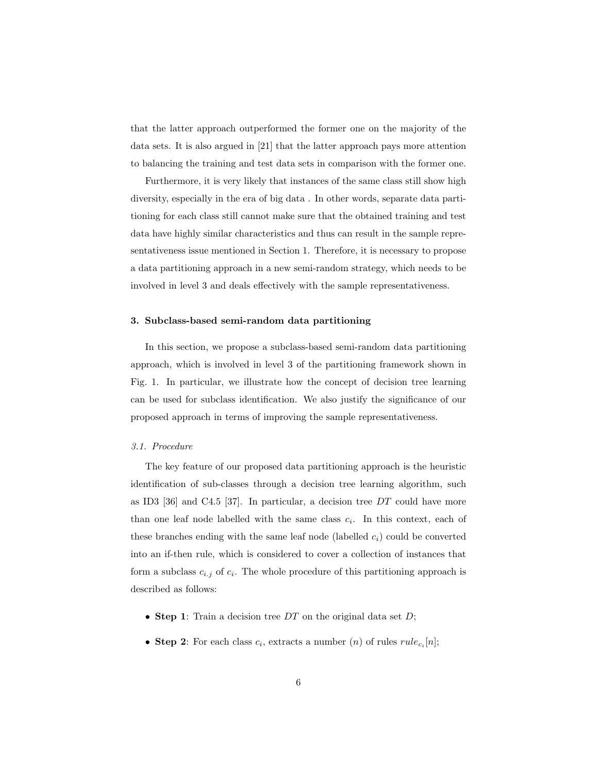that the latter approach outperformed the former one on the majority of the data sets. It is also argued in [21] that the latter approach pays more attention to balancing the training and test data sets in comparison with the former one.

Furthermore, it is very likely that instances of the same class still show high diversity, especially in the era of big data . In other words, separate data partitioning for each class still cannot make sure that the obtained training and test data have highly similar characteristics and thus can result in the sample representativeness issue mentioned in Section 1. Therefore, it is necessary to propose a data partitioning approach in a new semi-random strategy, which needs to be involved in level 3 and deals effectively with the sample representativeness.

#### 3. Subclass-based semi-random data partitioning

In this section, we propose a subclass-based semi-random data partitioning approach, which is involved in level 3 of the partitioning framework shown in Fig. 1. In particular, we illustrate how the concept of decision tree learning can be used for subclass identification. We also justify the significance of our proposed approach in terms of improving the sample representativeness.

#### 3.1. Procedure

The key feature of our proposed data partitioning approach is the heuristic identification of sub-classes through a decision tree learning algorithm, such as ID3 [36] and C4.5 [37]. In particular, a decision tree  $DT$  could have more than one leaf node labelled with the same class  $c_i$ . In this context, each of these branches ending with the same leaf node (labelled  $c_i$ ) could be converted into an if-then rule, which is considered to cover a collection of instances that form a subclass  $c_{i,j}$  of  $c_i$ . The whole procedure of this partitioning approach is described as follows:

- Step 1: Train a decision tree  $DT$  on the original data set  $D$ ;
- Step 2: For each class  $c_i$ , extracts a number  $(n)$  of rules  $rule_{c_i}[n]$ ;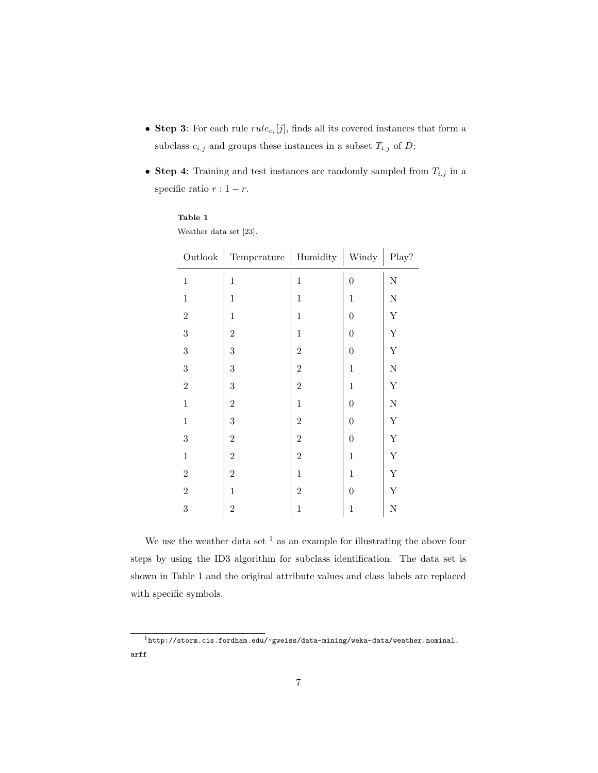- Step 3: For each rule  $rule_{c_i}[j]$ , finds all its covered instances that form a subclass  $c_{i,j}$  and groups these instances in a subset  $T_{i,j}$  of  $D$ ;
- Step 4: Training and test instances are randomly sampled from  $T_{i,j}$  in a specific ratio  $r: 1-r$ .

|                | Outlook   Temperature   Humidity   Windy   Play? |                |                  |                    |
|----------------|--------------------------------------------------|----------------|------------------|--------------------|
| $\,1\,$        | $\mathbf{1}$                                     | $\mathbf{1}$   | $\overline{0}$   | N                  |
| $\,1\,$        | $\,1$                                            | $\,1$          | $\mathbf{1}$     | ${\rm N}$          |
| $\overline{2}$ | $\mathbf{1}$                                     | $\mathbf{1}$   | $\overline{0}$   | $\mathbf Y$        |
| $\overline{3}$ | $\overline{2}$                                   | $\,1\,$        | $\overline{0}$   | $\mathbf Y$        |
| $\overline{3}$ | 3                                                | $\overline{2}$ | $\boldsymbol{0}$ | $\mathbf Y$        |
| $\sqrt{3}$     | 3                                                | $\overline{2}$ | $\mathbf{1}$     | $\mathbf N$        |
| $\overline{2}$ | 3                                                | $\overline{2}$ | $\,1\,$          | $\mathbf Y$        |
| $\,1\,$        | $\overline{2}$                                   | $\,1$          | $\overline{0}$   | ${\rm N}$          |
| $\,1\,$        | 3                                                | $\overline{2}$ | $\boldsymbol{0}$ | $\mathbf Y$        |
| $\overline{3}$ | $\overline{2}$                                   | $\overline{2}$ | $\overline{0}$   | $\mathbf Y$        |
| $\,1\,$        | $\overline{2}$                                   | $\overline{2}$ | $\,1$            | $\mathbf Y$        |
| $\overline{2}$ | $\overline{2}$                                   | $\,1$          | $\mathbf{1}$     | $\mathbf Y$        |
| $\overline{2}$ | $\mathbf{1}$                                     | $\overline{2}$ | $\overline{0}$   | $\mathbf Y$        |
| 3              | $\overline{2}$                                   | $\,1$          | $\mathbf{1}$     | $\overline{\rm N}$ |
|                |                                                  |                |                  |                    |

Weather data set [23].

We use the weather data set  $^1$  as an example for illustrating the above four steps by using the ID3 algorithm for subclass identification. The data set is shown in Table 1 and the original attribute values and class labels are replaced with specific symbols.

<sup>1</sup>http://storm.cis.fordham.edu/~gweiss/data-mining/weka-data/weather.nominal. arff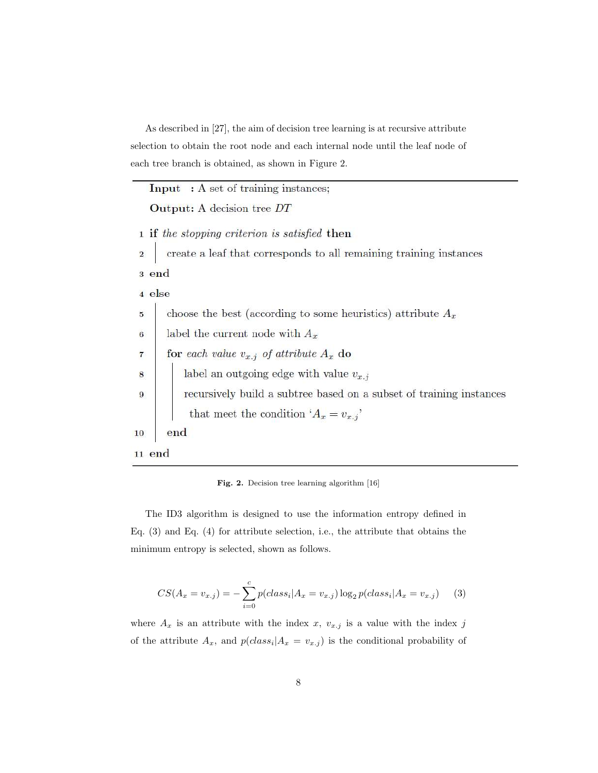As described in [27], the aim of decision tree learning is at recursive attribute selection to obtain the root node and each internal node until the leaf node of each tree branch is obtained, as shown in Figure 2.

|                 | <b>Input</b> : A set of training instances;                         |
|-----------------|---------------------------------------------------------------------|
|                 | <b>Output:</b> A decision tree DT                                   |
|                 | 1 if the stopping criterion is satisfied then                       |
| $\overline{2}$  | create a leaf that corresponds to all remaining training instances  |
|                 | 3 end                                                               |
|                 | 4 else                                                              |
| 5               | choose the best (according to some heuristics) attribute $A_x$      |
| $\bf{6}$        | label the current node with $A_x$                                   |
| $\overline{7}$  | for each value $v_{x,j}$ of attribute $A_x$ do                      |
| 8               | label an outgoing edge with value $v_{x,j}$                         |
| $9\phantom{.0}$ | recursively build a subtree based on a subset of training instances |
|                 | that meet the condition ' $A_x = v_{x,j}$ '                         |
| $10\,$          | end                                                                 |
| $11$ end        |                                                                     |
|                 |                                                                     |

Fig. 2. Decision tree learning algorithm [16]

The ID3 algorithm is designed to use the information entropy defined in Eq. (3) and Eq. (4) for attribute selection, i.e., the attribute that obtains the minimum entropy is selected, shown as follows.

$$
CS(A_x = v_{x,j}) = -\sum_{i=0}^{c} p(class_i | A_x = v_{x,j}) \log_2 p(class_i | A_x = v_{x,j})
$$
 (3)

where  $A_x$  is an attribute with the index  $x$ ,  $v_{x,j}$  is a value with the index  $j$ of the attribute  $A_x$ , and  $p(dass_i|A_x = v_{x,j})$  is the conditional probability of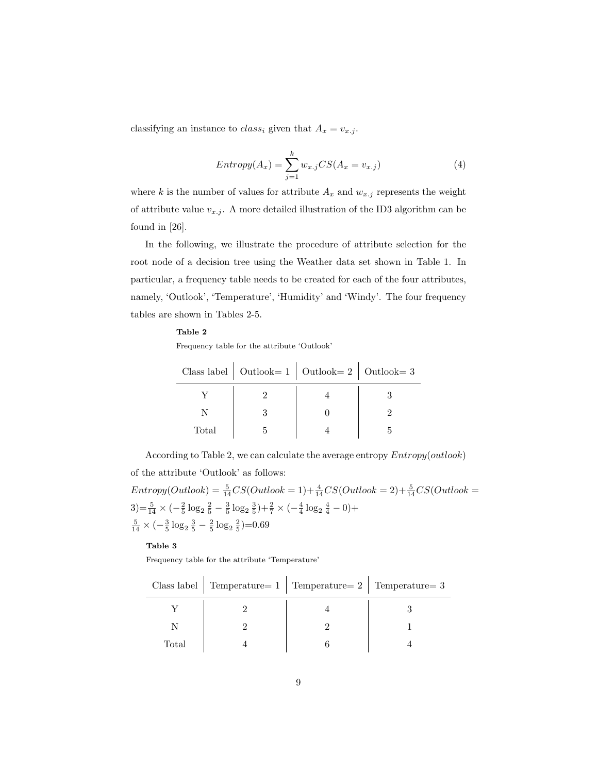classifying an instance to  $class_i$  given that  $A_x = v_{x,j}$ .

$$
Entropy(A_x) = \sum_{j=1}^{k} w_{x,j} CS(A_x = v_{x,j})
$$
\n(4)

where k is the number of values for attribute  $A_x$  and  $w_{x,j}$  represents the weight of attribute value  $v_{x,j}$ . A more detailed illustration of the ID3 algorithm can be found in [26].

In the following, we illustrate the procedure of attribute selection for the root node of a decision tree using the Weather data set shown in Table 1. In particular, a frequency table needs to be created for each of the four attributes, namely, 'Outlook', 'Temperature', 'Humidity' and 'Windy'. The four frequency tables are shown in Tables 2-5.

#### Table 2

Frequency table for the attribute 'Outlook'

|       | Class label   Outlook = $1$   Outlook = $2$   Outlook = $3$ |  |
|-------|-------------------------------------------------------------|--|
|       |                                                             |  |
|       |                                                             |  |
| Total |                                                             |  |

According to Table 2, we can calculate the average entropy Entropy(outlook) of the attribute 'Outlook' as follows:

 $Entropy(Outlook) = \frac{5}{14} CS(Outlook = 1) + \frac{4}{14} CS(Outlook = 2) + \frac{5}{14} CS(Outlook = 1)$  $3)=\frac{5}{14}\times(-\frac{2}{5}\log_2\frac{2}{5}-\frac{3}{5}\log_2\frac{3}{5})+\frac{2}{7}\times(-\frac{4}{4}\log_2\frac{4}{4}-0)+$  $\frac{5}{14} \times (-\frac{3}{5} \log_2 \frac{3}{5} - \frac{2}{5} \log_2 \frac{2}{5}) = 0.69$ 

# Table 3

Frequency table for the attribute 'Temperature'

|       | Class label   Temperature= $1$   Temperature= $2$   Temperature= $3$ |  |
|-------|----------------------------------------------------------------------|--|
|       |                                                                      |  |
|       |                                                                      |  |
| Total |                                                                      |  |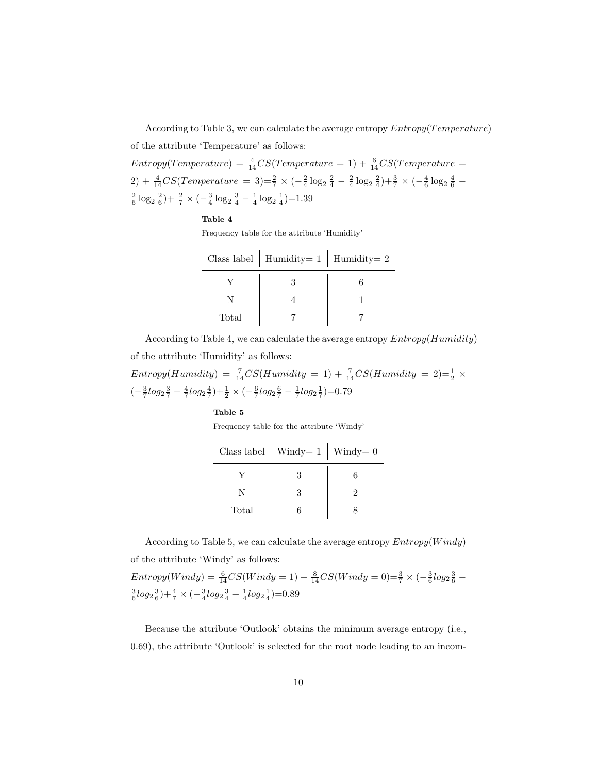According to Table 3, we can calculate the average entropy  $Entropy(Temperature)$ of the attribute 'Temperature' as follows:  $Entropy(Temperature) = \frac{4}{14} CS(Temperature = 1) + \frac{6}{14} CS(Temperature = 1)$ 2) +  $\frac{4}{14}CS(Temperature = 3)=\frac{2}{7} \times (-\frac{2}{4} \log_2 \frac{2}{4} - \frac{2}{4} \log_2 \frac{2}{4})+\frac{3}{7} \times (-\frac{4}{6} \log_2 \frac{4}{6} \frac{2}{6} \log_2 \frac{2}{6}$  +  $\frac{2}{7} \times (-\frac{3}{4} \log_2 \frac{3}{4} - \frac{1}{4} \log_2 \frac{1}{4})$  = 1.39

#### Table 4

Frequency table for the attribute 'Humidity'

|       | Class label   Humidity= 1   Humidity= 2 |  |
|-------|-----------------------------------------|--|
|       |                                         |  |
|       |                                         |  |
| Total |                                         |  |

According to Table 4, we can calculate the average entropy  $Entropy(Humidity)$ of the attribute 'Humidity' as follows:

 $Entropy(Humidity) = \frac{7}{14} CS(Humidity = 1) + \frac{7}{14} CS(Humidity = 2) = \frac{1}{2} \times$  $\left(-\frac{3}{7}log_2{\frac{3}{7}}-\frac{4}{7}log_2{\frac{4}{7}}\right)+\frac{1}{2}\times\left(-\frac{6}{7}log_2{\frac{6}{7}}-\frac{1}{7}log_2{\frac{1}{7}}\right)=0.79$ 

#### Table 5

Frequency table for the attribute 'Windy'

|       | Class label   Windy = $1$   Windy = 0 |  |
|-------|---------------------------------------|--|
|       | $\mathcal{R}$                         |  |
| N     |                                       |  |
| Total |                                       |  |

According to Table 5, we can calculate the average entropy  $Entropy(Windy)$ of the attribute 'Windy' as follows:

 $Entropy(Windy) = \frac{6}{14} CS(Windy = 1) + \frac{8}{14} CS(Windy = 0) = \frac{3}{7} \times \left(-\frac{3}{6} log_2 \frac{3}{6} - \frac{1}{12}\right)$  $\frac{3}{6}$ log<sub>2</sub> $\frac{3}{6}$ ) +  $\frac{4}{7}$  × ( $-\frac{3}{4}$ log<sub>2</sub> $\frac{3}{4}$  $\frac{1}{4}$ log<sub>2</sub> $\frac{1}{4}$ )=0.89

Because the attribute 'Outlook' obtains the minimum average entropy (i.e., 0.69), the attribute 'Outlook' is selected for the root node leading to an incom-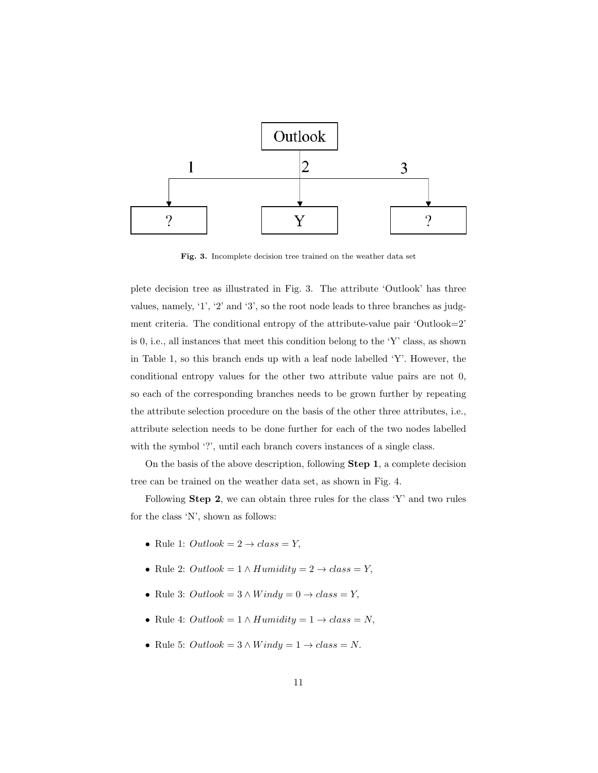

Fig. 3. Incomplete decision tree trained on the weather data set

plete decision tree as illustrated in Fig. 3. The attribute 'Outlook' has three values, namely, '1', '2' and '3', so the root node leads to three branches as judgment criteria. The conditional entropy of the attribute-value pair 'Outlook=2' is 0, i.e., all instances that meet this condition belong to the 'Y' class, as shown in Table 1, so this branch ends up with a leaf node labelled 'Y'. However, the conditional entropy values for the other two attribute value pairs are not 0, so each of the corresponding branches needs to be grown further by repeating the attribute selection procedure on the basis of the other three attributes, i.e., attribute selection needs to be done further for each of the two nodes labelled with the symbol '?', until each branch covers instances of a single class.

On the basis of the above description, following Step 1, a complete decision tree can be trained on the weather data set, as shown in Fig. 4.

Following Step 2, we can obtain three rules for the class 'Y' and two rules for the class 'N', shown as follows:

- Rule 1:  $Outlook = 2 \rightarrow class = Y$ ,
- Rule 2:  $Outlook = 1 \land Humidity = 2 \rightarrow class = Y$ ,
- Rule 3:  $Outlook = 3 \land Windy = 0 \rightarrow class = Y$ ,
- Rule 4:  $Outlook = 1 \land Humidity = 1 \rightarrow class = N$ ,
- Rule 5:  $Outlook = 3 \land Windy = 1 \rightarrow class = N$ .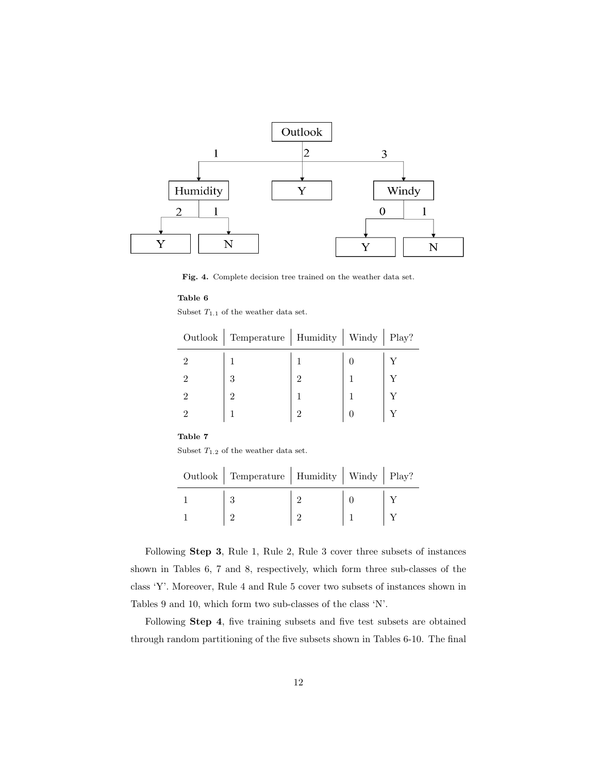

Fig. 4. Complete decision tree trained on the weather data set.

Subset  $T_{1.1}$  of the weather data set.

l,

|                | Outlook   Temperature   Humidity   Windy   Play? |   |  |
|----------------|--------------------------------------------------|---|--|
| $\mathfrak{D}$ |                                                  |   |  |
| $\mathfrak{D}$ | 3                                                | 2 |  |
| 2              | റ                                                |   |  |
| $\mathcal{P}$  |                                                  | റ |  |

# Table 7

Subset  $\mathcal{T}_{1.2}$  of the weather data set.

| Outlook   Temperature   Humidity   Windy   Play? |  |  |
|--------------------------------------------------|--|--|
|                                                  |  |  |
|                                                  |  |  |

Following Step 3, Rule 1, Rule 2, Rule 3 cover three subsets of instances shown in Tables 6, 7 and 8, respectively, which form three sub-classes of the class 'Y'. Moreover, Rule 4 and Rule 5 cover two subsets of instances shown in Tables 9 and 10, which form two sub-classes of the class 'N'.

Following Step 4, five training subsets and five test subsets are obtained through random partitioning of the five subsets shown in Tables 6-10. The final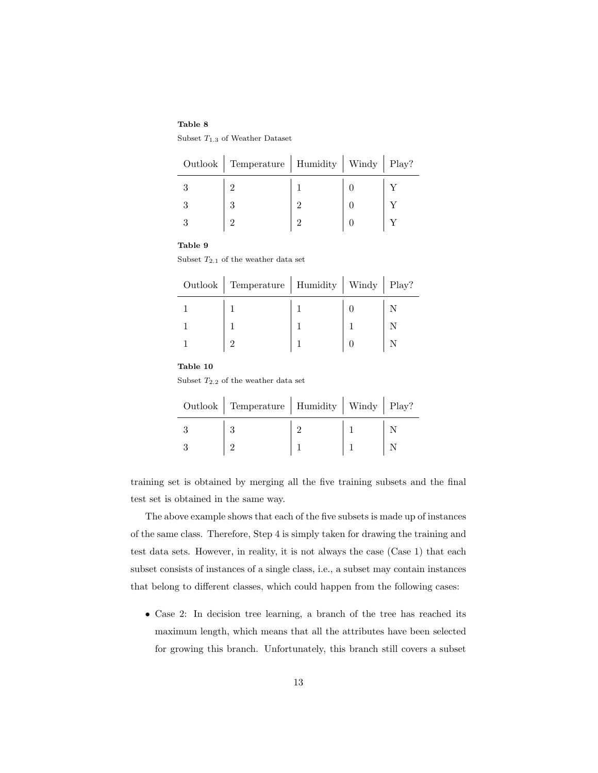Subset  $T_{1.3}$  of Weather Dataset

| Outlook   Temperature   Humidity   Windy   Play? |          |  |
|--------------------------------------------------|----------|--|
| റ                                                |          |  |
|                                                  |          |  |
| റ                                                | $\Omega$ |  |

#### Table 9

Subset  $T_{2.1}$  of the weather data set

| Outlook   Temperature   Humidity   Windy   Play? |  |  |
|--------------------------------------------------|--|--|
|                                                  |  |  |
|                                                  |  |  |
|                                                  |  |  |

#### Table 10

Subset  $T_{2,2}$  of the weather data set

| Outlook   Temperature   Humidity   Windy   Play? |  |  |
|--------------------------------------------------|--|--|
|                                                  |  |  |
|                                                  |  |  |

training set is obtained by merging all the five training subsets and the final test set is obtained in the same way.

The above example shows that each of the five subsets is made up of instances of the same class. Therefore, Step 4 is simply taken for drawing the training and test data sets. However, in reality, it is not always the case (Case 1) that each subset consists of instances of a single class, i.e., a subset may contain instances that belong to different classes, which could happen from the following cases:

• Case 2: In decision tree learning, a branch of the tree has reached its maximum length, which means that all the attributes have been selected for growing this branch. Unfortunately, this branch still covers a subset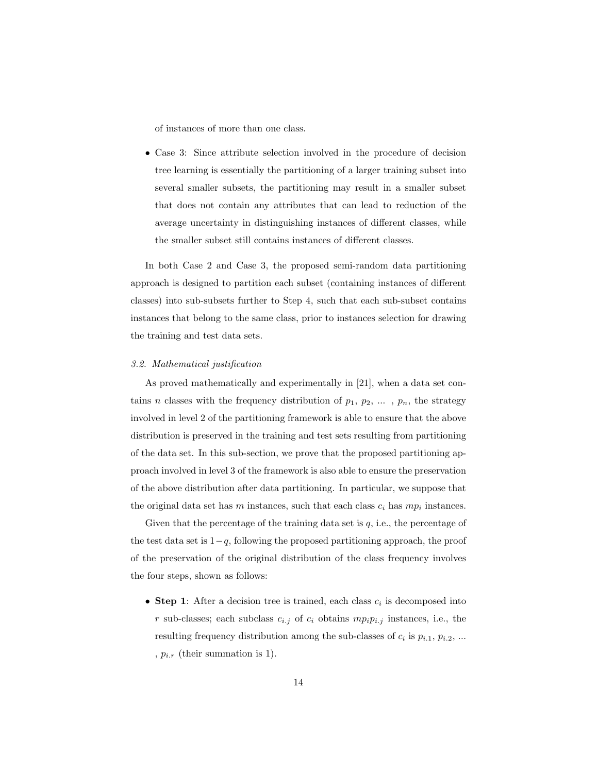of instances of more than one class.

• Case 3: Since attribute selection involved in the procedure of decision tree learning is essentially the partitioning of a larger training subset into several smaller subsets, the partitioning may result in a smaller subset that does not contain any attributes that can lead to reduction of the average uncertainty in distinguishing instances of different classes, while the smaller subset still contains instances of different classes.

In both Case 2 and Case 3, the proposed semi-random data partitioning approach is designed to partition each subset (containing instances of different classes) into sub-subsets further to Step 4, such that each sub-subset contains instances that belong to the same class, prior to instances selection for drawing the training and test data sets.

#### 3.2. Mathematical justification

As proved mathematically and experimentally in [21], when a data set contains *n* classes with the frequency distribution of  $p_1, p_2, \ldots, p_n$ , the strategy involved in level 2 of the partitioning framework is able to ensure that the above distribution is preserved in the training and test sets resulting from partitioning of the data set. In this sub-section, we prove that the proposed partitioning approach involved in level 3 of the framework is also able to ensure the preservation of the above distribution after data partitioning. In particular, we suppose that the original data set has  $m$  instances, such that each class  $c_i$  has  $mp_i$  instances.

Given that the percentage of the training data set is  $q$ , i.e., the percentage of the test data set is  $1-q$ , following the proposed partitioning approach, the proof of the preservation of the original distribution of the class frequency involves the four steps, shown as follows:

• Step 1: After a decision tree is trained, each class  $c_i$  is decomposed into r sub-classes; each subclass  $c_{i,j}$  of  $c_i$  obtains  $mp_i p_{i,j}$  instances, i.e., the resulting frequency distribution among the sub-classes of  $c_i$  is  $p_{i,1}, p_{i,2}, ...$ ,  $p_{i.r}$  (their summation is 1).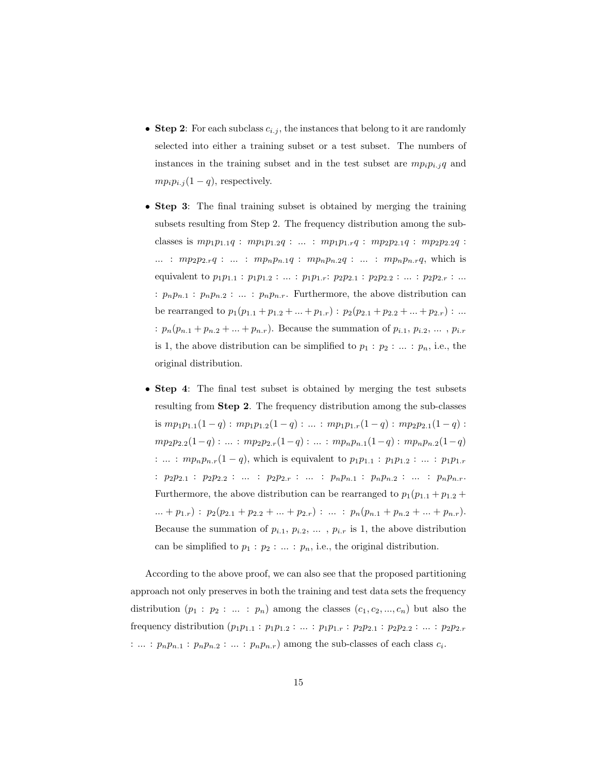- Step 2: For each subclass  $c_{i,j}$ , the instances that belong to it are randomly selected into either a training subset or a test subset. The numbers of instances in the training subset and in the test subset are  $mp_i p_{i,j} q$  and  $mp_i p_{i,j} (1 - q)$ , respectively.
- Step 3: The final training subset is obtained by merging the training subsets resulting from Step 2. The frequency distribution among the subclasses is  $mp_1p_{1.1}q$  :  $mp_1p_{1.2}q$  : ... :  $mp_1p_{1.r}q$  :  $mp_2p_{2.1}q$  :  $mp_2p_{2.2}q$  : ... :  $mp_2p_{2,r}q$  : ... :  $mp_np_{n,1}q$  :  $mp_np_{n,2}q$  : ... :  $mp_np_{n,r}q$ , which is equivalent to  $p_1p_{1,1} : p_1p_{1,2} : ... : p_1p_{1,r} : p_2p_{2,1} : p_2p_{2,2} : ... : p_2p_{2,r} : ...$ :  $p_np_{n,1}$ :  $p_np_{n,2}$ : ... :  $p_np_{n,r}$ . Furthermore, the above distribution can be rearranged to  $p_1(p_{1,1} + p_{1,2} + ... + p_{1,r})$ :  $p_2(p_{2,1} + p_{2,2} + ... + p_{2,r})$ : ... :  $p_n(p_{n,1} + p_{n,2} + ... + p_{n,r})$ . Because the summation of  $p_{i,1}, p_{i,2}, ..., p_{i,r}$ is 1, the above distribution can be simplified to  $p_1 : p_2 : ... : p_n$ , i.e., the original distribution.
- Step 4: The final test subset is obtained by merging the test subsets resulting from Step 2. The frequency distribution among the sub-classes is  $mp_1p_{1.1}(1-q)$ :  $mp_1p_{1.2}(1-q)$ : ... :  $mp_1p_{1.r}(1-q)$ :  $mp_2p_{2.1}(1-q)$ :  $mp_2p_{2.2}(1-q) : ... : mp_2p_{2.r}(1-q) : ... : mp_np_{n.1}(1-q) : mp_np_{n.2}(1-q)$ : ... :  $mp_np_{n,r}(1-q)$ , which is equivalent to  $p_1p_{1,1}$  :  $p_1p_{1,2}$  : ... :  $p_1p_{1,r}$ :  $p_2p_{2.1}$  :  $p_2p_{2.2}$  : ... :  $p_2p_{2.r}$  : ... :  $p_np_{n.1}$  :  $p_np_{n.2}$  : ... :  $p_np_{n.r}$ . Furthermore, the above distribution can be rearranged to  $p_1(p_{1,1} + p_{1,2} + p_{1,3})$ ... +  $p_{1.r}$ ) :  $p_2(p_{2.1} + p_{2.2} + ... + p_{2.r})$  : ... :  $p_n(p_{n.1} + p_{n.2} + ... + p_{n.r})$ . Because the summation of  $p_{i,1}, p_{i,2}, \ldots, p_{i,r}$  is 1, the above distribution can be simplified to  $p_1 : p_2 : ... : p_n$ , i.e., the original distribution.

According to the above proof, we can also see that the proposed partitioning approach not only preserves in both the training and test data sets the frequency distribution  $(p_1 : p_2 : ... : p_n)$  among the classes  $(c_1, c_2, ..., c_n)$  but also the frequency distribution  $(p_1p_{1.1} : p_1p_{1.2} : ... : p_1p_{1.r} : p_2p_{2.1} : p_2p_{2.2} : ... : p_2p_{2.r}$ : ... :  $p_np_{n,1}$  :  $p_np_{n,2}$  : ... :  $p_np_{n,r}$  among the sub-classes of each class  $c_i$ .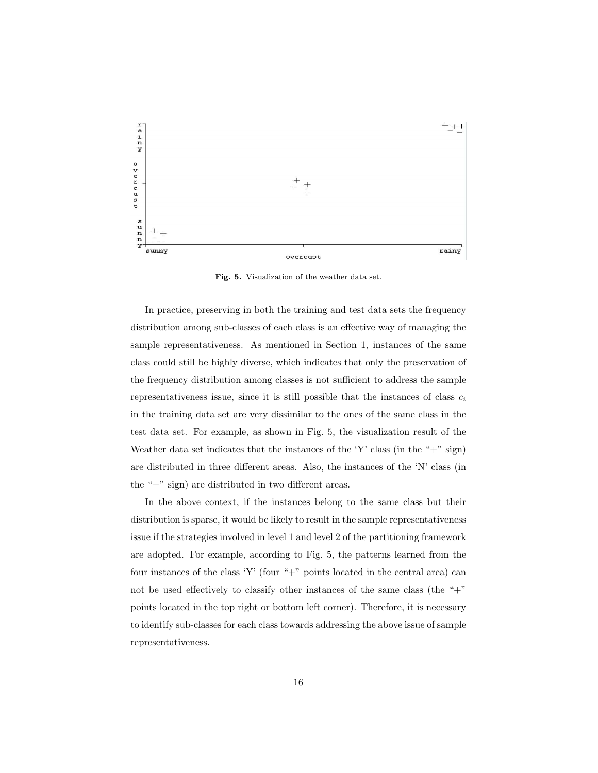

Fig. 5. Visualization of the weather data set.

In practice, preserving in both the training and test data sets the frequency distribution among sub-classes of each class is an effective way of managing the sample representativeness. As mentioned in Section 1, instances of the same class could still be highly diverse, which indicates that only the preservation of the frequency distribution among classes is not sufficient to address the sample representativeness issue, since it is still possible that the instances of class  $c_i$ in the training data set are very dissimilar to the ones of the same class in the test data set. For example, as shown in Fig. 5, the visualization result of the Weather data set indicates that the instances of the 'Y' class (in the " $+$ " sign) are distributed in three different areas. Also, the instances of the 'N' class (in the "−" sign) are distributed in two different areas.

In the above context, if the instances belong to the same class but their distribution is sparse, it would be likely to result in the sample representativeness issue if the strategies involved in level 1 and level 2 of the partitioning framework are adopted. For example, according to Fig. 5, the patterns learned from the four instances of the class 'Y' (four "+" points located in the central area) can not be used effectively to classify other instances of the same class (the "+" points located in the top right or bottom left corner). Therefore, it is necessary to identify sub-classes for each class towards addressing the above issue of sample representativeness.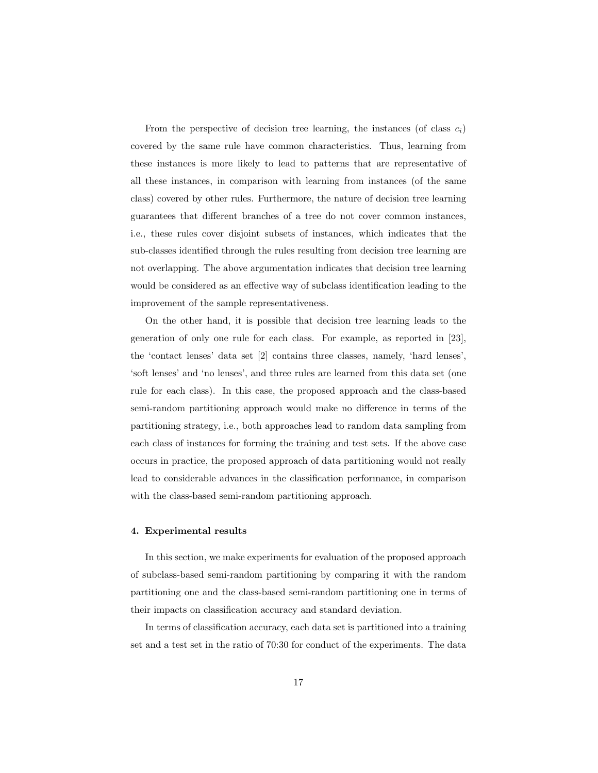From the perspective of decision tree learning, the instances (of class  $c_i$ ) covered by the same rule have common characteristics. Thus, learning from these instances is more likely to lead to patterns that are representative of all these instances, in comparison with learning from instances (of the same class) covered by other rules. Furthermore, the nature of decision tree learning guarantees that different branches of a tree do not cover common instances, i.e., these rules cover disjoint subsets of instances, which indicates that the sub-classes identified through the rules resulting from decision tree learning are not overlapping. The above argumentation indicates that decision tree learning would be considered as an effective way of subclass identification leading to the improvement of the sample representativeness.

On the other hand, it is possible that decision tree learning leads to the generation of only one rule for each class. For example, as reported in [23], the 'contact lenses' data set [2] contains three classes, namely, 'hard lenses', 'soft lenses' and 'no lenses', and three rules are learned from this data set (one rule for each class). In this case, the proposed approach and the class-based semi-random partitioning approach would make no difference in terms of the partitioning strategy, i.e., both approaches lead to random data sampling from each class of instances for forming the training and test sets. If the above case occurs in practice, the proposed approach of data partitioning would not really lead to considerable advances in the classification performance, in comparison with the class-based semi-random partitioning approach.

#### 4. Experimental results

In this section, we make experiments for evaluation of the proposed approach of subclass-based semi-random partitioning by comparing it with the random partitioning one and the class-based semi-random partitioning one in terms of their impacts on classification accuracy and standard deviation.

In terms of classification accuracy, each data set is partitioned into a training set and a test set in the ratio of 70:30 for conduct of the experiments. The data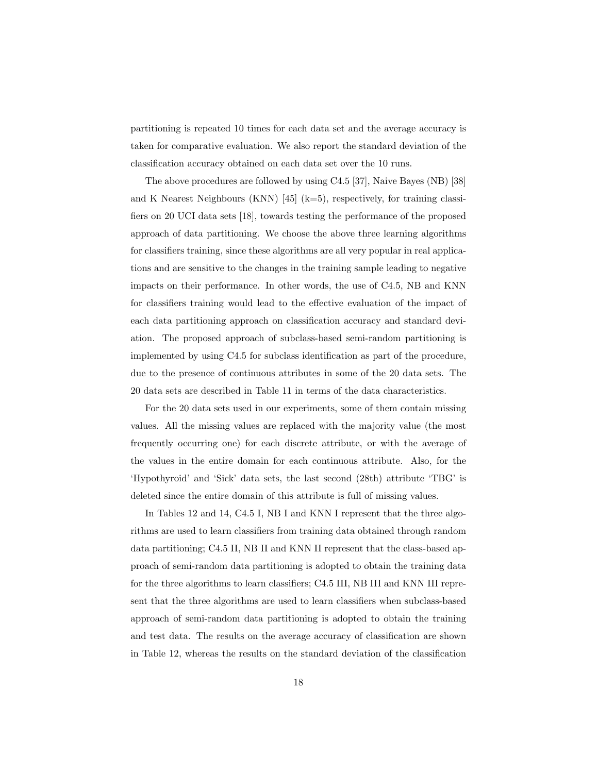partitioning is repeated 10 times for each data set and the average accuracy is taken for comparative evaluation. We also report the standard deviation of the classification accuracy obtained on each data set over the 10 runs.

The above procedures are followed by using C4.5 [37], Naive Bayes (NB) [38] and K Nearest Neighbours (KNN)  $[45]$  (k=5), respectively, for training classifiers on 20 UCI data sets [18], towards testing the performance of the proposed approach of data partitioning. We choose the above three learning algorithms for classifiers training, since these algorithms are all very popular in real applications and are sensitive to the changes in the training sample leading to negative impacts on their performance. In other words, the use of C4.5, NB and KNN for classifiers training would lead to the effective evaluation of the impact of each data partitioning approach on classification accuracy and standard deviation. The proposed approach of subclass-based semi-random partitioning is implemented by using C4.5 for subclass identification as part of the procedure, due to the presence of continuous attributes in some of the 20 data sets. The 20 data sets are described in Table 11 in terms of the data characteristics.

For the 20 data sets used in our experiments, some of them contain missing values. All the missing values are replaced with the majority value (the most frequently occurring one) for each discrete attribute, or with the average of the values in the entire domain for each continuous attribute. Also, for the 'Hypothyroid' and 'Sick' data sets, the last second (28th) attribute 'TBG' is deleted since the entire domain of this attribute is full of missing values.

In Tables 12 and 14, C4.5 I, NB I and KNN I represent that the three algorithms are used to learn classifiers from training data obtained through random data partitioning; C4.5 II, NB II and KNN II represent that the class-based approach of semi-random data partitioning is adopted to obtain the training data for the three algorithms to learn classifiers; C4.5 III, NB III and KNN III represent that the three algorithms are used to learn classifiers when subclass-based approach of semi-random data partitioning is adopted to obtain the training and test data. The results on the average accuracy of classification are shown in Table 12, whereas the results on the standard deviation of the classification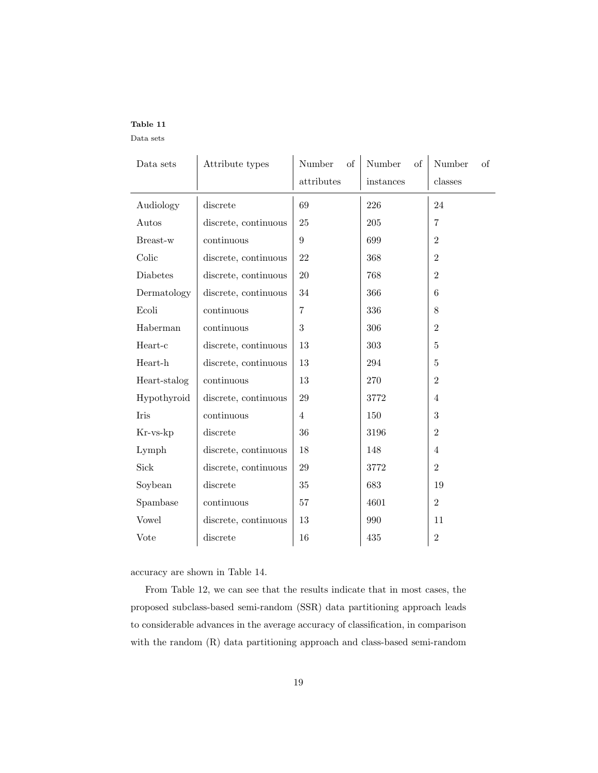Data sets

| Data sets    | Attribute types      | Number<br>οf   | Number<br>οf | Number<br>of   |
|--------------|----------------------|----------------|--------------|----------------|
|              |                      | attributes     | instances    | classes        |
| Audiology    | discrete             | 69             | 226          | 24             |
| Autos        | discrete, continuous | 25             | 205          | $\overline{7}$ |
| Breast-w     | continuous           | 9              | 699          | $\overline{2}$ |
| Colic        | discrete, continuous | 22             | 368          | $\overline{2}$ |
| Diabetes     | discrete, continuous | 20             | 768          | $\overline{2}$ |
| Dermatology  | discrete, continuous | 34             | 366          | 6              |
| Ecoli        | continuous           | 7              | 336          | 8              |
| Haberman     | continuous           | $\sqrt{3}$     | 306          | $\overline{2}$ |
| Heart-c      | discrete, continuous | 13             | 303          | $\overline{5}$ |
| Heart-h      | discrete, continuous | 13             | 294          | 5              |
| Heart-stalog | continuous           | 13             | 270          | $\overline{2}$ |
| Hypothyroid  | discrete, continuous | 29             | 3772         | $\overline{4}$ |
| Iris         | continuous           | $\overline{4}$ | 150          | 3              |
| Kr-vs-kp     | discrete             | 36             | 3196         | $\overline{2}$ |
| Lymph        | discrete, continuous | 18             | 148          | $\overline{4}$ |
| Sick         | discrete, continuous | 29             | 3772         | $\overline{2}$ |
| Soybean      | discrete             | $35\,$         | 683          | 19             |
| Spambase     | continuous           | 57             | 4601         | $\overline{2}$ |
| Vowel        | discrete, continuous | 13             | 990          | 11             |
| Vote         | discrete             | 16             | 435          | $\overline{2}$ |

accuracy are shown in Table 14.

From Table 12, we can see that the results indicate that in most cases, the proposed subclass-based semi-random (SSR) data partitioning approach leads to considerable advances in the average accuracy of classification, in comparison with the random (R) data partitioning approach and class-based semi-random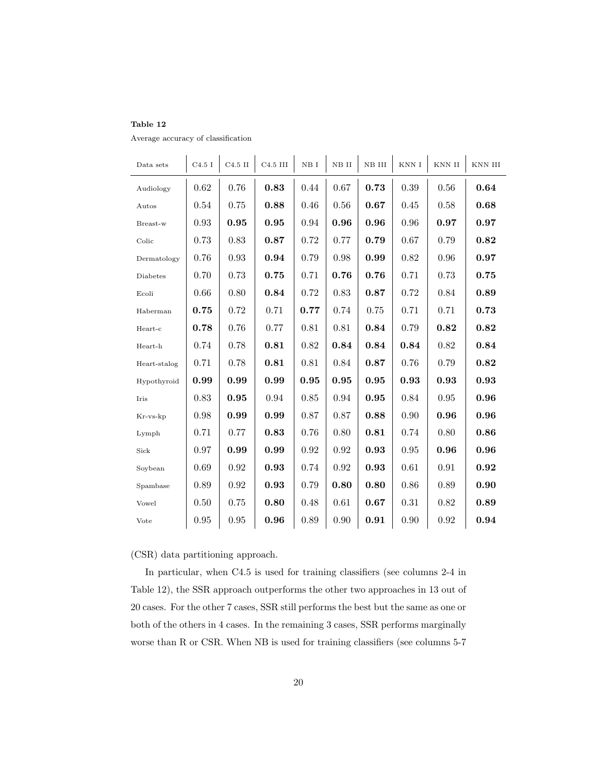Average accuracy of classification

| Data sets    | C4.5I | $C4.5$ II  | $C4.5$ III | $\it NB$ I | $\it NB$ $\it II$ | NB III | $\mathop{\rm KNN}\nolimits$ I | $\mathop{\rm KNN}\nolimits$ II | $\mathop{\rm KNN}\nolimits$ III |
|--------------|-------|------------|------------|------------|-------------------|--------|-------------------------------|--------------------------------|---------------------------------|
| Audiology    | 0.62  | 0.76       | 0.83       | 0.44       | 0.67              | 0.73   | 0.39                          | 0.56                           | 0.64                            |
| Autos        | 0.54  | 0.75       | 0.88       | 0.46       | 0.56              | 0.67   | $0.45\,$                      | 0.58                           | 0.68                            |
| Breast-w     | 0.93  | 0.95       | 0.95       | 0.94       | 0.96              | 0.96   | 0.96                          | 0.97                           | 0.97                            |
| Colic        | 0.73  | 0.83       | 0.87       | 0.72       | 0.77              | 0.79   | 0.67                          | 0.79                           | 0.82                            |
| Dermatology  | 0.76  | 0.93       | 0.94       | 0.79       | 0.98              | 0.99   | 0.82                          | 0.96                           | 0.97                            |
| Diabetes     | 0.70  | 0.73       | 0.75       | 0.71       | 0.76              | 0.76   | 0.71                          | 0.73                           | 0.75                            |
| Ecoli        | 0.66  | 0.80       | 0.84       | 0.72       | 0.83              | 0.87   | 0.72                          | 0.84                           | 0.89                            |
| Haberman     | 0.75  | 0.72       | 0.71       | 0.77       | 0.74              | 0.75   | 0.71                          | 0.71                           | 0.73                            |
| Heart-c      | 0.78  | 0.76       | 0.77       | 0.81       | 0.81              | 0.84   | 0.79                          | 0.82                           | 0.82                            |
| Heart-h      | 0.74  | 0.78       | 0.81       | 0.82       | 0.84              | 0.84   | 0.84                          | 0.82                           | 0.84                            |
| Heart-stalog | 0.71  | 0.78       | 0.81       | 0.81       | 0.84              | 0.87   | 0.76                          | 0.79                           | 0.82                            |
| Hypothyroid  | 0.99  | 0.99       | 0.99       | 0.95       | $\bf 0.95$        | 0.95   | 0.93                          | 0.93                           | 0.93                            |
| Iris         | 0.83  | 0.95       | 0.94       | 0.85       | 0.94              | 0.95   | 0.84                          | 0.95                           | 0.96                            |
| Kr-vs-kp     | 0.98  | 0.99       | 0.99       | 0.87       | 0.87              | 0.88   | 0.90                          | 0.96                           | 0.96                            |
| Lymph        | 0.71  | 0.77       | 0.83       | 0.76       | 0.80              | 0.81   | 0.74                          | 0.80                           | 0.86                            |
| Sick         | 0.97  | 0.99       | 0.99       | 0.92       | 0.92              | 0.93   | 0.95                          | 0.96                           | 0.96                            |
| Soybean      | 0.69  | $\rm 0.92$ | 0.93       | 0.74       | 0.92              | 0.93   | 0.61                          | 0.91                           | 0.92                            |
| Spambase     | 0.89  | 0.92       | 0.93       | 0.79       | 0.80              | 0.80   | 0.86                          | 0.89                           | 0.90                            |
| Vowel        | 0.50  | 0.75       | 0.80       | 0.48       | 0.61              | 0.67   | 0.31                          | 0.82                           | 0.89                            |
| Vote         | 0.95  | $0.95\,$   | 0.96       | 0.89       | 0.90              | 0.91   | 0.90                          | 0.92                           | 0.94                            |

(CSR) data partitioning approach.

In particular, when C4.5 is used for training classifiers (see columns 2-4 in Table 12), the SSR approach outperforms the other two approaches in 13 out of 20 cases. For the other 7 cases, SSR still performs the best but the same as one or both of the others in 4 cases. In the remaining 3 cases, SSR performs marginally worse than R or CSR. When NB is used for training classifiers (see columns 5-7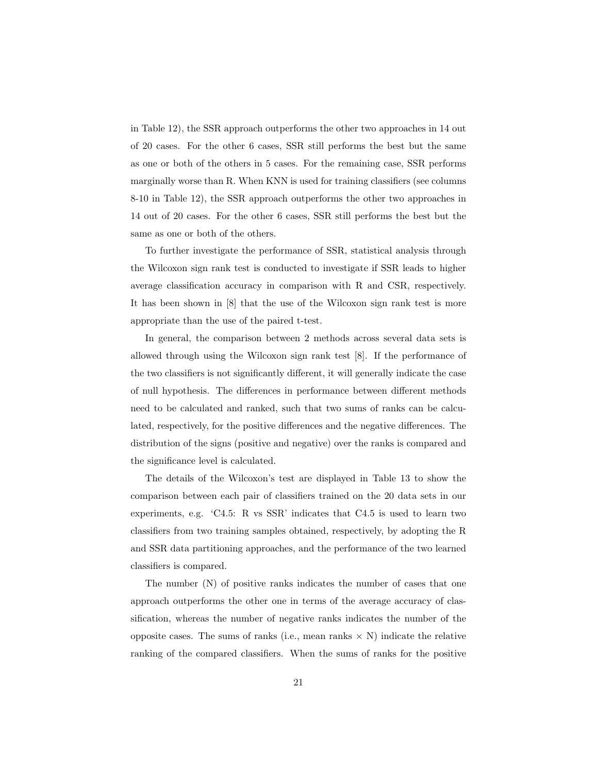in Table 12), the SSR approach outperforms the other two approaches in 14 out of 20 cases. For the other 6 cases, SSR still performs the best but the same as one or both of the others in 5 cases. For the remaining case, SSR performs marginally worse than R. When KNN is used for training classifiers (see columns 8-10 in Table 12), the SSR approach outperforms the other two approaches in 14 out of 20 cases. For the other 6 cases, SSR still performs the best but the same as one or both of the others.

To further investigate the performance of SSR, statistical analysis through the Wilcoxon sign rank test is conducted to investigate if SSR leads to higher average classification accuracy in comparison with R and CSR, respectively. It has been shown in [8] that the use of the Wilcoxon sign rank test is more appropriate than the use of the paired t-test.

In general, the comparison between 2 methods across several data sets is allowed through using the Wilcoxon sign rank test [8]. If the performance of the two classifiers is not significantly different, it will generally indicate the case of null hypothesis. The differences in performance between different methods need to be calculated and ranked, such that two sums of ranks can be calculated, respectively, for the positive differences and the negative differences. The distribution of the signs (positive and negative) over the ranks is compared and the significance level is calculated.

The details of the Wilcoxon's test are displayed in Table 13 to show the comparison between each pair of classifiers trained on the 20 data sets in our experiments, e.g. 'C4.5: R vs SSR' indicates that C4.5 is used to learn two classifiers from two training samples obtained, respectively, by adopting the R and SSR data partitioning approaches, and the performance of the two learned classifiers is compared.

The number (N) of positive ranks indicates the number of cases that one approach outperforms the other one in terms of the average accuracy of classification, whereas the number of negative ranks indicates the number of the opposite cases. The sums of ranks (i.e., mean ranks  $\times$  N) indicate the relative ranking of the compared classifiers. When the sums of ranks for the positive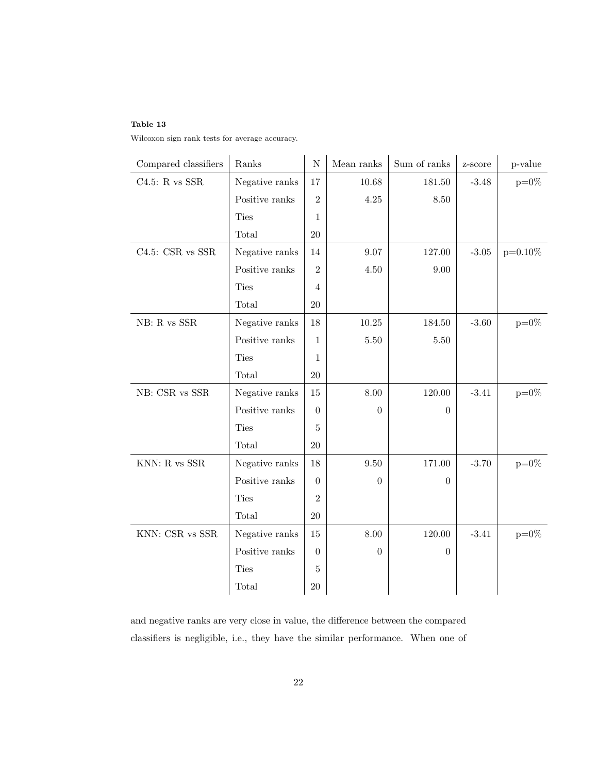Wilcoxon sign rank tests for average accuracy.

| Compared classifiers | Ranks          | ${\rm N}$      | Mean ranks     | Sum of ranks   | z-score          | p-value    |
|----------------------|----------------|----------------|----------------|----------------|------------------|------------|
| C4.5: R vs SSR       | Negative ranks | 17             | 10.68          | 181.50         | $-3.48$          | $p=0\%$    |
|                      | Positive ranks | $\overline{2}$ | 4.25           | 8.50           |                  |            |
|                      | <b>Ties</b>    | 1              |                |                |                  |            |
|                      | Total          | $20\,$         |                |                |                  |            |
| C4.5: CSR vs SSR     | Negative ranks | 14             | 9.07           | 127.00         | $\textbf{-3.05}$ | $p=0.10\%$ |
|                      | Positive ranks | $\overline{2}$ | $4.50\,$       | $9.00\,$       |                  |            |
|                      | <b>Ties</b>    | $\overline{4}$ |                |                |                  |            |
|                      | Total          | 20             |                |                |                  |            |
| $NB:$ R vs $SSR$     | Negative ranks | 18             | $10.25\,$      | 184.50         | $-3.60$          | $p=0\%$    |
|                      | Positive ranks | $\mathbf{1}$   | 5.50           | 5.50           |                  |            |
|                      | <b>Ties</b>    | $\mathbf{1}$   |                |                |                  |            |
|                      | Total          | $20\,$         |                |                |                  |            |
| NB: CSR vs SSR       | Negative ranks | 15             | 8.00           | 120.00         | $-3.41$          | $p=0\%$    |
|                      | Positive ranks | $\theta$       | $\overline{0}$ | $\overline{0}$ |                  |            |
|                      | <b>Ties</b>    | 5              |                |                |                  |            |
|                      | Total          | $20\,$         |                |                |                  |            |
| KNN: R vs $SSR$      | Negative ranks | 18             | 9.50           | 171.00         | $-3.70$          | $p=0\%$    |
|                      | Positive ranks | $\theta$       | $\theta$       | 0              |                  |            |
|                      | <b>Ties</b>    | $\overline{2}$ |                |                |                  |            |
|                      | Total          | $20\,$         |                |                |                  |            |
| KNN: CSR vs SSR      | Negative ranks | 15             | 8.00           | 120.00         | $-3.41$          | $p=0\%$    |
|                      | Positive ranks | $\Omega$       | $\theta$       | $\Omega$       |                  |            |
|                      | <b>Ties</b>    | 5              |                |                |                  |            |
|                      | Total          | $20\,$         |                |                |                  |            |

and negative ranks are very close in value, the difference between the compared classifiers is negligible, i.e., they have the similar performance. When one of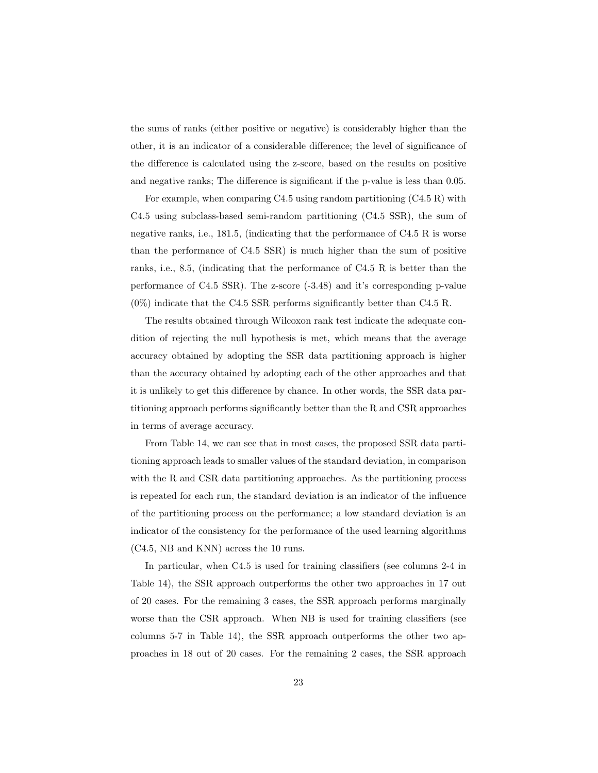the sums of ranks (either positive or negative) is considerably higher than the other, it is an indicator of a considerable difference; the level of significance of the difference is calculated using the z-score, based on the results on positive and negative ranks; The difference is significant if the p-value is less than 0.05.

For example, when comparing C4.5 using random partitioning  $(C4.5 R)$  with C4.5 using subclass-based semi-random partitioning (C4.5 SSR), the sum of negative ranks, i.e., 181.5, (indicating that the performance of C4.5 R is worse than the performance of C4.5 SSR) is much higher than the sum of positive ranks, i.e., 8.5, (indicating that the performance of C4.5 R is better than the performance of C4.5 SSR). The z-score (-3.48) and it's corresponding p-value  $(0\%)$  indicate that the C4.5 SSR performs significantly better than C4.5 R.

The results obtained through Wilcoxon rank test indicate the adequate condition of rejecting the null hypothesis is met, which means that the average accuracy obtained by adopting the SSR data partitioning approach is higher than the accuracy obtained by adopting each of the other approaches and that it is unlikely to get this difference by chance. In other words, the SSR data partitioning approach performs significantly better than the R and CSR approaches in terms of average accuracy.

From Table 14, we can see that in most cases, the proposed SSR data partitioning approach leads to smaller values of the standard deviation, in comparison with the R and CSR data partitioning approaches. As the partitioning process is repeated for each run, the standard deviation is an indicator of the influence of the partitioning process on the performance; a low standard deviation is an indicator of the consistency for the performance of the used learning algorithms (C4.5, NB and KNN) across the 10 runs.

In particular, when C4.5 is used for training classifiers (see columns 2-4 in Table 14), the SSR approach outperforms the other two approaches in 17 out of 20 cases. For the remaining 3 cases, the SSR approach performs marginally worse than the CSR approach. When NB is used for training classifiers (see columns 5-7 in Table 14), the SSR approach outperforms the other two approaches in 18 out of 20 cases. For the remaining 2 cases, the SSR approach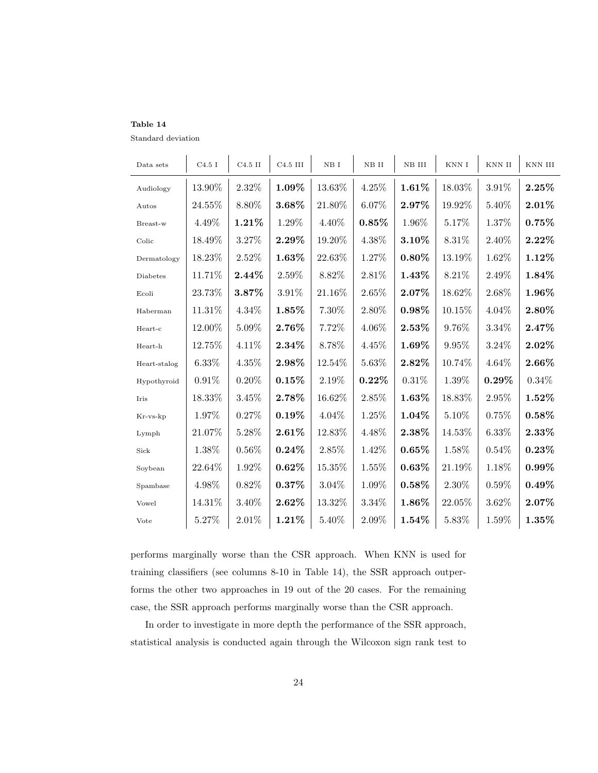Standard deviation

| Data sets    | C4.5I     | $C4.5$ II | $C4.5$ III | NB I     | NB II    | NB III   | KNN I     | KNN II   | KNN III  |
|--------------|-----------|-----------|------------|----------|----------|----------|-----------|----------|----------|
| Audiology    | 13.90%    | 2.32%     | 1.09%      | 13.63%   | 4.25%    | 1.61%    | 18.03%    | 3.91%    | $2.25\%$ |
| Autos        | 24.55%    | 8.80%     | 3.68%      | 21.80%   | 6.07%    | 2.97%    | 19.92%    | 5.40%    | $2.01\%$ |
| Breast-w     | 4.49%     | 1.21%     | 1.29%      | 4.40%    | 0.85%    | 1.96%    | 5.17%     | 1.37%    | $0.75\%$ |
| Colic        | 18.49%    | 3.27%     | $2.29\%$   | 19.20%   | 4.38%    | 3.10%    | 8.31%     | 2.40%    | $2.22\%$ |
| Dermatology  | 18.23%    | 2.52%     | 1.63%      | 22.63%   | 1.27%    | $0.80\%$ | 13.19%    | 1.62%    | $1.12\%$ |
| Diabetes     | 11.71%    | $2.44\%$  | 2.59%      | 8.82\%   | $2.81\%$ | $1.43\%$ | $8.21\%$  | $2.49\%$ | 1.84%    |
| Ecoli        | 23.73%    | 3.87%     | 3.91%      | 21.16%   | 2.65%    | 2.07%    | 18.62%    | 2.68%    | 1.96%    |
| Haberman     | 11.31%    | 4.34%     | 1.85%      | 7.30%    | 2.80%    | $0.98\%$ | 10.15%    | 4.04%    | 2.80%    |
| Heart-c      | 12.00%    | 5.09%     | 2.76%      | 7.72%    | 4.06%    | $2.53\%$ | 9.76%     | 3.34%    | $2.47\%$ |
| Heart-h      | 12.75%    | $4.11\%$  | 2.34%      | 8.78%    | 4.45\%   | 1.69%    | $9.95\%$  | $3.24\%$ | $2.02\%$ |
| Heart-stalog | 6.33%     | 4.35%     | $2.98\%$   | 12.54%   | 5.63%    | $2.82\%$ | 10.74%    | $4.64\%$ | $2.66\%$ |
| Hypothyroid  | $0.91\%$  | $0.20\%$  | 0.15%      | 2.19%    | $0.22\%$ | 0.31%    | 1.39%     | $0.29\%$ | $0.34\%$ |
| Iris         | 18.33\%   | 3.45\%    | 2.78%      | 16.62%   | 2.85\%   | 1.63%    | 18.83%    | $2.95\%$ | $1.52\%$ |
| Kr-vs-kp     | 1.97%     | 0.27%     | 0.19%      | 4.04%    | 1.25%    | 1.04%    | 5.10%     | 0.75%    | $0.58\%$ |
| Lymph        | 21.07%    | 5.28%     | 2.61%      | 12.83%   | 4.48%    | 2.38%    | 14.53%    | 6.33%    | $2.33\%$ |
| Sick         | 1.38%     | $0.56\%$  | $0.24\%$   | 2.85%    | 1.42%    | 0.65%    | 1.58%     | 0.54%    | $0.23\%$ |
| Soybean      | $22.64\%$ | 1.92\%    | $0.62\%$   | 15.35%   | 1.55%    | $0.63\%$ | 21.19%    | 1.18%    | $0.99\%$ |
| Spambase     | 4.98%     | $0.82\%$  | 0.37%      | $3.04\%$ | 1.09%    | $0.58\%$ | $2.30\%$  | $0.59\%$ | $0.49\%$ |
| Vowel        | 14.31\%   | $3.40\%$  | $2.62\%$   | 13.32%   | $3.34\%$ | 1.86%    | $22.05\%$ | $3.62\%$ | $2.07\%$ |
| Vote         | 5.27%     | 2.01%     | 1.21%      | 5.40%    | 2.09%    | 1.54%    | 5.83%     | 1.59%    | 1.35%    |

performs marginally worse than the CSR approach. When KNN is used for training classifiers (see columns 8-10 in Table 14), the SSR approach outperforms the other two approaches in 19 out of the 20 cases. For the remaining case, the SSR approach performs marginally worse than the CSR approach.

In order to investigate in more depth the performance of the SSR approach, statistical analysis is conducted again through the Wilcoxon sign rank test to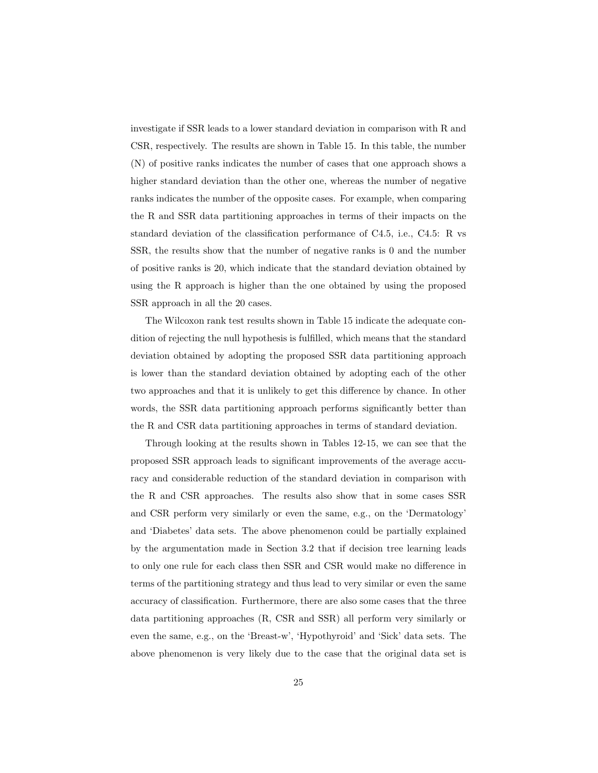investigate if SSR leads to a lower standard deviation in comparison with R and CSR, respectively. The results are shown in Table 15. In this table, the number (N) of positive ranks indicates the number of cases that one approach shows a higher standard deviation than the other one, whereas the number of negative ranks indicates the number of the opposite cases. For example, when comparing the R and SSR data partitioning approaches in terms of their impacts on the standard deviation of the classification performance of C4.5, i.e., C4.5: R vs SSR, the results show that the number of negative ranks is 0 and the number of positive ranks is 20, which indicate that the standard deviation obtained by using the R approach is higher than the one obtained by using the proposed SSR approach in all the 20 cases.

The Wilcoxon rank test results shown in Table 15 indicate the adequate condition of rejecting the null hypothesis is fulfilled, which means that the standard deviation obtained by adopting the proposed SSR data partitioning approach is lower than the standard deviation obtained by adopting each of the other two approaches and that it is unlikely to get this difference by chance. In other words, the SSR data partitioning approach performs significantly better than the R and CSR data partitioning approaches in terms of standard deviation.

Through looking at the results shown in Tables 12-15, we can see that the proposed SSR approach leads to significant improvements of the average accuracy and considerable reduction of the standard deviation in comparison with the R and CSR approaches. The results also show that in some cases SSR and CSR perform very similarly or even the same, e.g., on the 'Dermatology' and 'Diabetes' data sets. The above phenomenon could be partially explained by the argumentation made in Section 3.2 that if decision tree learning leads to only one rule for each class then SSR and CSR would make no difference in terms of the partitioning strategy and thus lead to very similar or even the same accuracy of classification. Furthermore, there are also some cases that the three data partitioning approaches (R, CSR and SSR) all perform very similarly or even the same, e.g., on the 'Breast-w', 'Hypothyroid' and 'Sick' data sets. The above phenomenon is very likely due to the case that the original data set is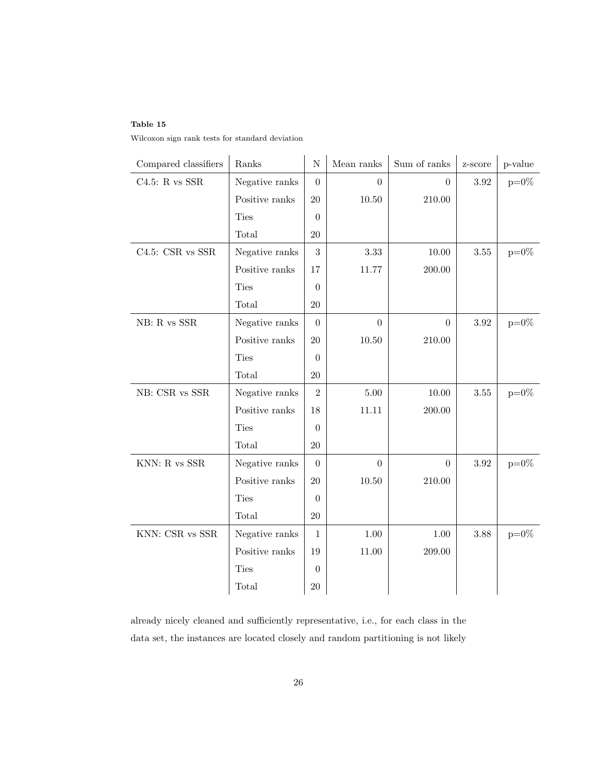Wilcoxon sign rank tests for standard deviation

| Compared classifiers | Ranks          | $\mathbf N$      | Mean ranks     | Sum of ranks   | z-score  | p-value        |
|----------------------|----------------|------------------|----------------|----------------|----------|----------------|
| C4.5: R vs SSR       | Negative ranks | $\overline{0}$   | $\overline{0}$ | $\overline{0}$ | 3.92     | $p=0\%$        |
|                      | Positive ranks | 20               | 10.50          | 210.00         |          |                |
|                      | <b>Ties</b>    | $\overline{0}$   |                |                |          |                |
|                      | Total          | $20\,$           |                |                |          |                |
| $C4.5:$ CSR vs SSR   | Negative ranks | 3                | 3.33           | 10.00          | $3.55\,$ | $p=0\%$        |
|                      | Positive ranks | 17               | 11.77          | 200.00         |          |                |
|                      | <b>Ties</b>    | $\theta$         |                |                |          |                |
|                      | Total          | $20\,$           |                |                |          |                |
| $NB:$ R vs $SSR$     | Negative ranks | $\Omega$         | $\Omega$       | $\Omega$       | 3.92     | $\text{p=0}\%$ |
|                      | Positive ranks | $20\,$           | $10.50\,$      | 210.00         |          |                |
|                      | Ties           | $\theta$         |                |                |          |                |
|                      | Total          | $20\,$           |                |                |          |                |
| $NB:$ CSR vs $SSR$   | Negative ranks | $\overline{2}$   | 5.00           | 10.00          | 3.55     | $p=0\%$        |
|                      | Positive ranks | 18               | 11.11          | 200.00         |          |                |
|                      | Ties           | $\theta$         |                |                |          |                |
|                      | Total          | 20               |                |                |          |                |
| $KNN: R$ vs $SSR$    | Negative ranks | $\theta$         | $\Omega$       | $\overline{0}$ | 3.92     | $p=0\%$        |
|                      | Positive ranks | $20\,$           | 10.50          | 210.00         |          |                |
|                      | Ties           | $\theta$         |                |                |          |                |
|                      | Total          | 20               |                |                |          |                |
| KNN: CSR vs SSR      | Negative ranks | $\mathbf{1}$     | 1.00           | 1.00           | 3.88     | $p=0\%$        |
|                      | Positive ranks | 19               | $11.00\,$      | 209.00         |          |                |
|                      | <b>Ties</b>    | $\boldsymbol{0}$ |                |                |          |                |
|                      | Total          | 20               |                |                |          |                |

already nicely cleaned and sufficiently representative, i.e., for each class in the data set, the instances are located closely and random partitioning is not likely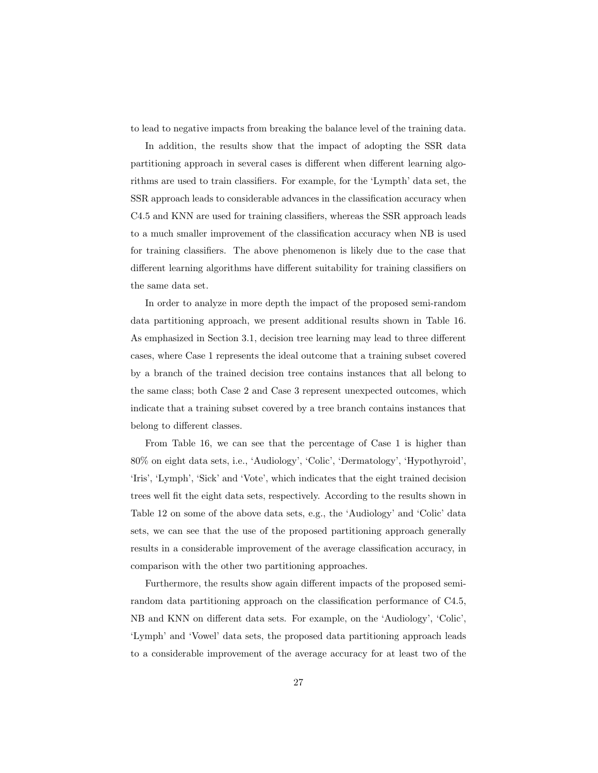to lead to negative impacts from breaking the balance level of the training data.

In addition, the results show that the impact of adopting the SSR data partitioning approach in several cases is different when different learning algorithms are used to train classifiers. For example, for the 'Lympth' data set, the SSR approach leads to considerable advances in the classification accuracy when C4.5 and KNN are used for training classifiers, whereas the SSR approach leads to a much smaller improvement of the classification accuracy when NB is used for training classifiers. The above phenomenon is likely due to the case that different learning algorithms have different suitability for training classifiers on the same data set.

In order to analyze in more depth the impact of the proposed semi-random data partitioning approach, we present additional results shown in Table 16. As emphasized in Section 3.1, decision tree learning may lead to three different cases, where Case 1 represents the ideal outcome that a training subset covered by a branch of the trained decision tree contains instances that all belong to the same class; both Case 2 and Case 3 represent unexpected outcomes, which indicate that a training subset covered by a tree branch contains instances that belong to different classes.

From Table 16, we can see that the percentage of Case 1 is higher than 80% on eight data sets, i.e., 'Audiology', 'Colic', 'Dermatology', 'Hypothyroid', 'Iris', 'Lymph', 'Sick' and 'Vote', which indicates that the eight trained decision trees well fit the eight data sets, respectively. According to the results shown in Table 12 on some of the above data sets, e.g., the 'Audiology' and 'Colic' data sets, we can see that the use of the proposed partitioning approach generally results in a considerable improvement of the average classification accuracy, in comparison with the other two partitioning approaches.

Furthermore, the results show again different impacts of the proposed semirandom data partitioning approach on the classification performance of C4.5, NB and KNN on different data sets. For example, on the 'Audiology', 'Colic', 'Lymph' and 'Vowel' data sets, the proposed data partitioning approach leads to a considerable improvement of the average accuracy for at least two of the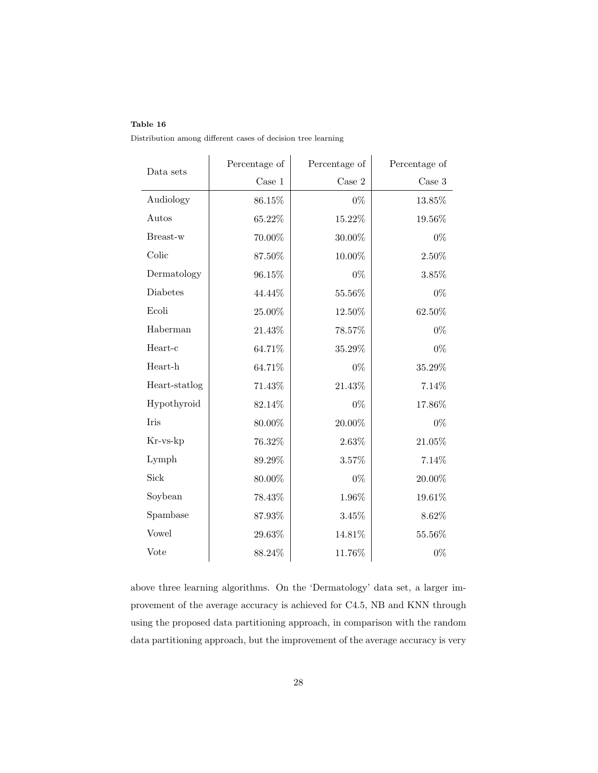| Distribution among different cases of decision tree learning |  |
|--------------------------------------------------------------|--|
|--------------------------------------------------------------|--|

| Data sets     | Percentage of | Percentage of | Percentage of |  |
|---------------|---------------|---------------|---------------|--|
|               | $\rm Case\ 1$ | Case 2        | $\rm Case~3$  |  |
| Audiology     | 86.15%        | $0\%$         | 13.85%        |  |
| Autos         | 65.22%        | 15.22%        | 19.56%        |  |
| Breast-w      | 70.00%        | $30.00\%$     | $0\%$         |  |
| Colic         | 87.50%        | $10.00\%$     | 2.50%         |  |
| Dermatology   | 96.15%        | $0\%$         | 3.85%         |  |
| Diabetes      | 44.44%        | 55.56%        | $0\%$         |  |
| Ecoli         | $25.00\%$     | 12.50%        | 62.50%        |  |
| Haberman      | $21.43\%$     | 78.57%        | $0\%$         |  |
| Heart-c       | 64.71%        | 35.29%        | $0\%$         |  |
| Heart-h       | 64.71%        | $0\%$         | 35.29%        |  |
| Heart-statlog | 71.43%        | 21.43%        | 7.14%         |  |
| Hypothyroid   | 82.14%        | $0\%$         | 17.86%        |  |
| Iris          | 80.00%        | 20.00%        | $0\%$         |  |
| Kr-vs-kp      | 76.32%        | 2.63%         | $21.05\%$     |  |
| Lymph         | 89.29%        | 3.57%         | 7.14%         |  |
| Sick          | $80.00\%$     | $0\%$         | $20.00\%$     |  |
| Soybean       | 78.43%        | 1.96%         | 19.61%        |  |
| Spambase      | 87.93%        | 3.45%         | 8.62%         |  |
| Vowel         | 29.63%        | 14.81%        | 55.56%        |  |
| Vote          | 88.24%        | 11.76%        | $0\%$         |  |

above three learning algorithms. On the 'Dermatology' data set, a larger improvement of the average accuracy is achieved for C4.5, NB and KNN through using the proposed data partitioning approach, in comparison with the random data partitioning approach, but the improvement of the average accuracy is very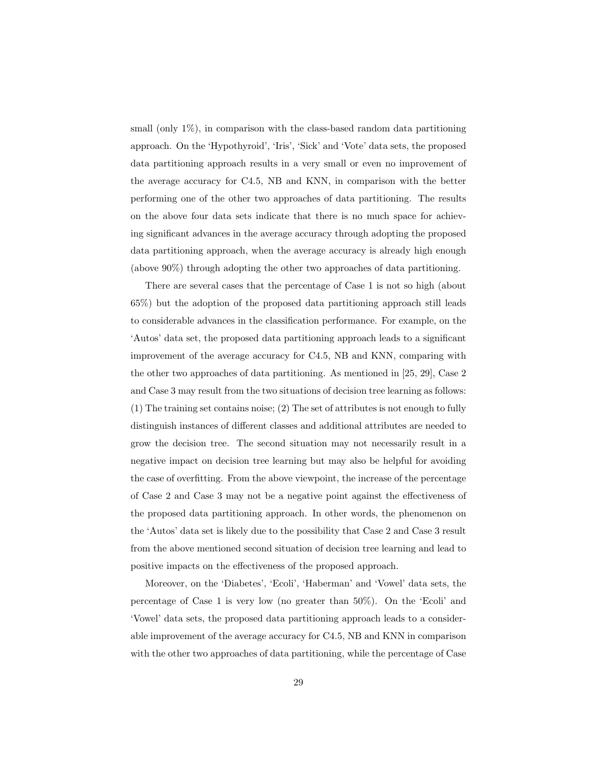small (only  $1\%$ ), in comparison with the class-based random data partitioning approach. On the 'Hypothyroid', 'Iris', 'Sick' and 'Vote' data sets, the proposed data partitioning approach results in a very small or even no improvement of the average accuracy for C4.5, NB and KNN, in comparison with the better performing one of the other two approaches of data partitioning. The results on the above four data sets indicate that there is no much space for achieving significant advances in the average accuracy through adopting the proposed data partitioning approach, when the average accuracy is already high enough (above 90%) through adopting the other two approaches of data partitioning.

There are several cases that the percentage of Case 1 is not so high (about 65%) but the adoption of the proposed data partitioning approach still leads to considerable advances in the classification performance. For example, on the 'Autos' data set, the proposed data partitioning approach leads to a significant improvement of the average accuracy for C4.5, NB and KNN, comparing with the other two approaches of data partitioning. As mentioned in [25, 29], Case 2 and Case 3 may result from the two situations of decision tree learning as follows: (1) The training set contains noise; (2) The set of attributes is not enough to fully distinguish instances of different classes and additional attributes are needed to grow the decision tree. The second situation may not necessarily result in a negative impact on decision tree learning but may also be helpful for avoiding the case of overfitting. From the above viewpoint, the increase of the percentage of Case 2 and Case 3 may not be a negative point against the effectiveness of the proposed data partitioning approach. In other words, the phenomenon on the 'Autos' data set is likely due to the possibility that Case 2 and Case 3 result from the above mentioned second situation of decision tree learning and lead to positive impacts on the effectiveness of the proposed approach.

Moreover, on the 'Diabetes', 'Ecoli', 'Haberman' and 'Vowel' data sets, the percentage of Case 1 is very low (no greater than 50%). On the 'Ecoli' and 'Vowel' data sets, the proposed data partitioning approach leads to a considerable improvement of the average accuracy for C4.5, NB and KNN in comparison with the other two approaches of data partitioning, while the percentage of Case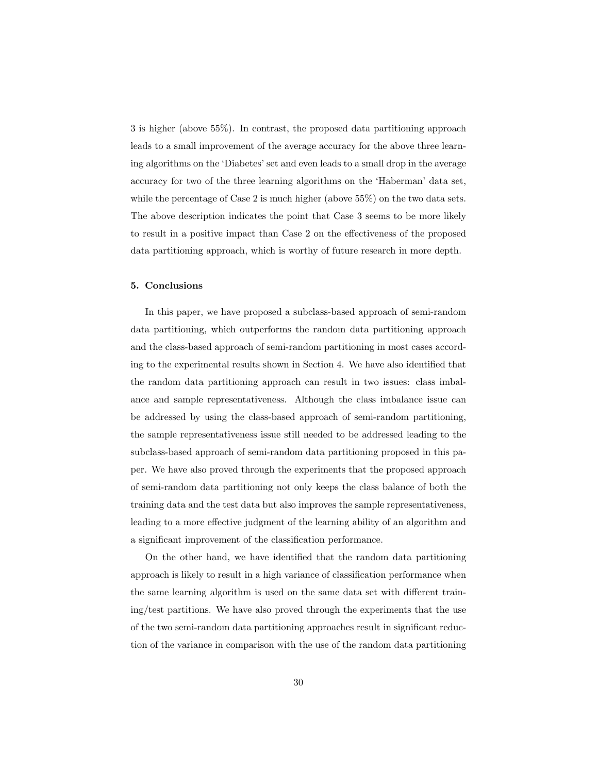3 is higher (above 55%). In contrast, the proposed data partitioning approach leads to a small improvement of the average accuracy for the above three learning algorithms on the 'Diabetes' set and even leads to a small drop in the average accuracy for two of the three learning algorithms on the 'Haberman' data set, while the percentage of Case 2 is much higher (above 55%) on the two data sets. The above description indicates the point that Case 3 seems to be more likely to result in a positive impact than Case 2 on the effectiveness of the proposed data partitioning approach, which is worthy of future research in more depth.

#### 5. Conclusions

In this paper, we have proposed a subclass-based approach of semi-random data partitioning, which outperforms the random data partitioning approach and the class-based approach of semi-random partitioning in most cases according to the experimental results shown in Section 4. We have also identified that the random data partitioning approach can result in two issues: class imbalance and sample representativeness. Although the class imbalance issue can be addressed by using the class-based approach of semi-random partitioning, the sample representativeness issue still needed to be addressed leading to the subclass-based approach of semi-random data partitioning proposed in this paper. We have also proved through the experiments that the proposed approach of semi-random data partitioning not only keeps the class balance of both the training data and the test data but also improves the sample representativeness, leading to a more effective judgment of the learning ability of an algorithm and a significant improvement of the classification performance.

On the other hand, we have identified that the random data partitioning approach is likely to result in a high variance of classification performance when the same learning algorithm is used on the same data set with different training/test partitions. We have also proved through the experiments that the use of the two semi-random data partitioning approaches result in significant reduction of the variance in comparison with the use of the random data partitioning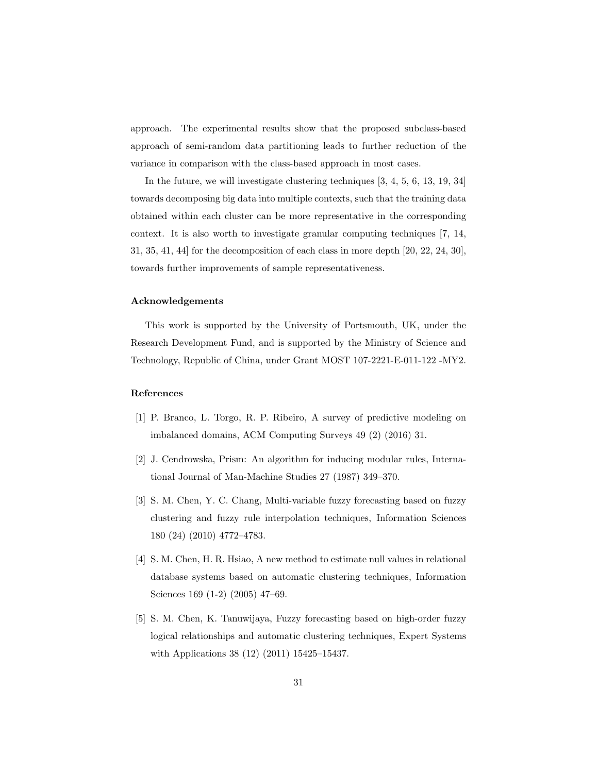approach. The experimental results show that the proposed subclass-based approach of semi-random data partitioning leads to further reduction of the variance in comparison with the class-based approach in most cases.

In the future, we will investigate clustering techniques [3, 4, 5, 6, 13, 19, 34] towards decomposing big data into multiple contexts, such that the training data obtained within each cluster can be more representative in the corresponding context. It is also worth to investigate granular computing techniques [7, 14, 31, 35, 41, 44] for the decomposition of each class in more depth [20, 22, 24, 30], towards further improvements of sample representativeness.

#### Acknowledgements

This work is supported by the University of Portsmouth, UK, under the Research Development Fund, and is supported by the Ministry of Science and Technology, Republic of China, under Grant MOST 107-2221-E-011-122 -MY2.

#### References

- [1] P. Branco, L. Torgo, R. P. Ribeiro, A survey of predictive modeling on imbalanced domains, ACM Computing Surveys 49 (2) (2016) 31.
- [2] J. Cendrowska, Prism: An algorithm for inducing modular rules, International Journal of Man-Machine Studies 27 (1987) 349–370.
- [3] S. M. Chen, Y. C. Chang, Multi-variable fuzzy forecasting based on fuzzy clustering and fuzzy rule interpolation techniques, Information Sciences 180 (24) (2010) 4772–4783.
- [4] S. M. Chen, H. R. Hsiao, A new method to estimate null values in relational database systems based on automatic clustering techniques, Information Sciences 169 (1-2) (2005) 47–69.
- [5] S. M. Chen, K. Tanuwijaya, Fuzzy forecasting based on high-order fuzzy logical relationships and automatic clustering techniques, Expert Systems with Applications 38 (12) (2011) 15425–15437.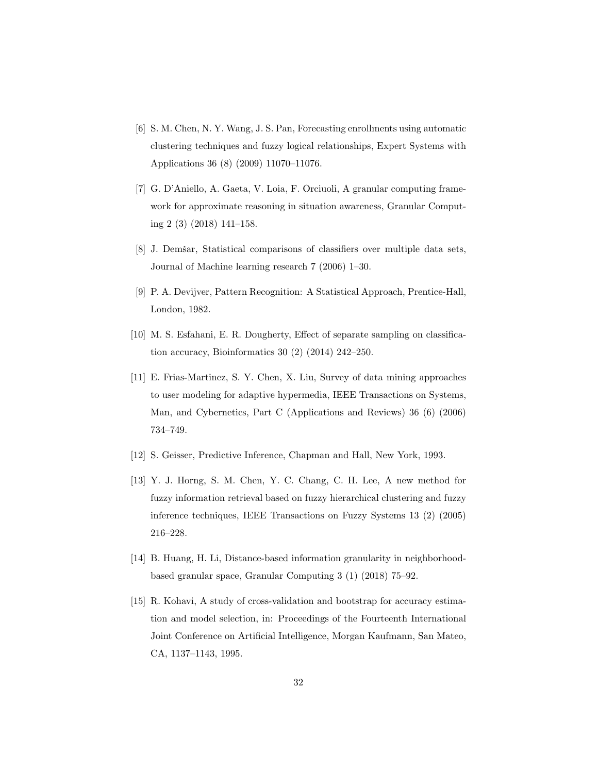- [6] S. M. Chen, N. Y. Wang, J. S. Pan, Forecasting enrollments using automatic clustering techniques and fuzzy logical relationships, Expert Systems with Applications 36 (8) (2009) 11070–11076.
- [7] G. D'Aniello, A. Gaeta, V. Loia, F. Orciuoli, A granular computing framework for approximate reasoning in situation awareness, Granular Computing 2 (3) (2018) 141–158.
- [8] J. Demšar, Statistical comparisons of classifiers over multiple data sets, Journal of Machine learning research 7 (2006) 1–30.
- [9] P. A. Devijver, Pattern Recognition: A Statistical Approach, Prentice-Hall, London, 1982.
- [10] M. S. Esfahani, E. R. Dougherty, Effect of separate sampling on classification accuracy, Bioinformatics 30 (2) (2014) 242–250.
- [11] E. Frias-Martinez, S. Y. Chen, X. Liu, Survey of data mining approaches to user modeling for adaptive hypermedia, IEEE Transactions on Systems, Man, and Cybernetics, Part C (Applications and Reviews) 36 (6) (2006) 734–749.
- [12] S. Geisser, Predictive Inference, Chapman and Hall, New York, 1993.
- [13] Y. J. Horng, S. M. Chen, Y. C. Chang, C. H. Lee, A new method for fuzzy information retrieval based on fuzzy hierarchical clustering and fuzzy inference techniques, IEEE Transactions on Fuzzy Systems 13 (2) (2005) 216–228.
- [14] B. Huang, H. Li, Distance-based information granularity in neighborhoodbased granular space, Granular Computing 3 (1) (2018) 75–92.
- [15] R. Kohavi, A study of cross-validation and bootstrap for accuracy estimation and model selection, in: Proceedings of the Fourteenth International Joint Conference on Artificial Intelligence, Morgan Kaufmann, San Mateo, CA, 1137–1143, 1995.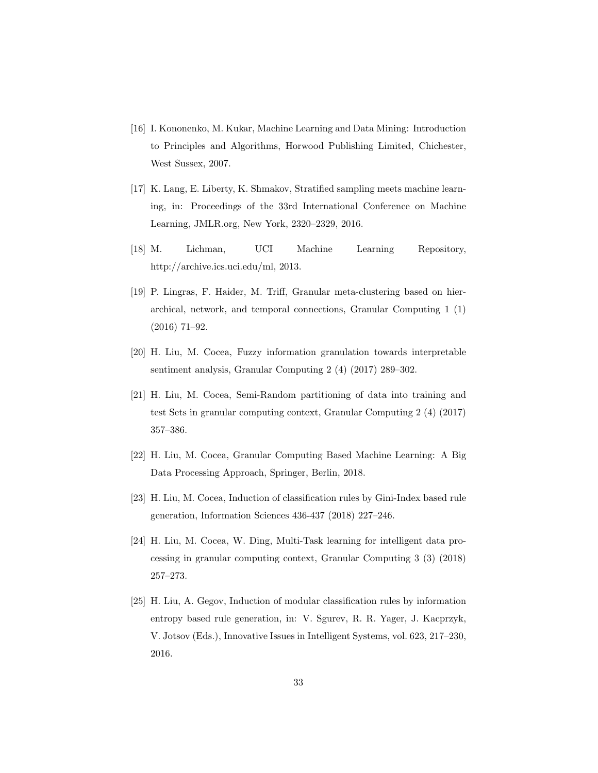- [16] I. Kononenko, M. Kukar, Machine Learning and Data Mining: Introduction to Principles and Algorithms, Horwood Publishing Limited, Chichester, West Sussex, 2007.
- [17] K. Lang, E. Liberty, K. Shmakov, Stratified sampling meets machine learning, in: Proceedings of the 33rd International Conference on Machine Learning, JMLR.org, New York, 2320–2329, 2016.
- [18] M. Lichman, UCI Machine Learning Repository, http://archive.ics.uci.edu/ml, 2013.
- [19] P. Lingras, F. Haider, M. Triff, Granular meta-clustering based on hierarchical, network, and temporal connections, Granular Computing 1 (1) (2016) 71–92.
- [20] H. Liu, M. Cocea, Fuzzy information granulation towards interpretable sentiment analysis, Granular Computing 2 (4) (2017) 289–302.
- [21] H. Liu, M. Cocea, Semi-Random partitioning of data into training and test Sets in granular computing context, Granular Computing 2 (4) (2017) 357–386.
- [22] H. Liu, M. Cocea, Granular Computing Based Machine Learning: A Big Data Processing Approach, Springer, Berlin, 2018.
- [23] H. Liu, M. Cocea, Induction of classification rules by Gini-Index based rule generation, Information Sciences 436-437 (2018) 227–246.
- [24] H. Liu, M. Cocea, W. Ding, Multi-Task learning for intelligent data processing in granular computing context, Granular Computing 3 (3) (2018) 257–273.
- [25] H. Liu, A. Gegov, Induction of modular classification rules by information entropy based rule generation, in: V. Sgurev, R. R. Yager, J. Kacprzyk, V. Jotsov (Eds.), Innovative Issues in Intelligent Systems, vol. 623, 217–230, 2016.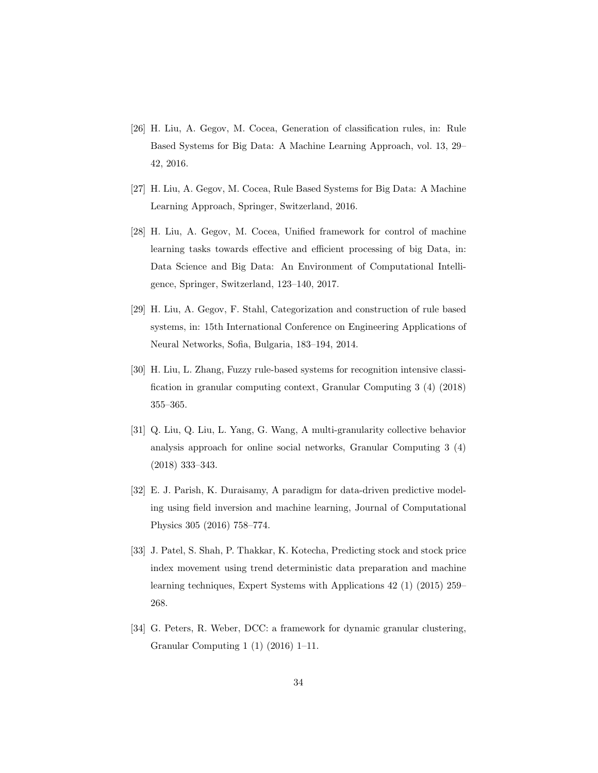- [26] H. Liu, A. Gegov, M. Cocea, Generation of classification rules, in: Rule Based Systems for Big Data: A Machine Learning Approach, vol. 13, 29– 42, 2016.
- [27] H. Liu, A. Gegov, M. Cocea, Rule Based Systems for Big Data: A Machine Learning Approach, Springer, Switzerland, 2016.
- [28] H. Liu, A. Gegov, M. Cocea, Unified framework for control of machine learning tasks towards effective and efficient processing of big Data, in: Data Science and Big Data: An Environment of Computational Intelligence, Springer, Switzerland, 123–140, 2017.
- [29] H. Liu, A. Gegov, F. Stahl, Categorization and construction of rule based systems, in: 15th International Conference on Engineering Applications of Neural Networks, Sofia, Bulgaria, 183–194, 2014.
- [30] H. Liu, L. Zhang, Fuzzy rule-based systems for recognition intensive classification in granular computing context, Granular Computing 3 (4) (2018) 355–365.
- [31] Q. Liu, Q. Liu, L. Yang, G. Wang, A multi-granularity collective behavior analysis approach for online social networks, Granular Computing 3 (4) (2018) 333–343.
- [32] E. J. Parish, K. Duraisamy, A paradigm for data-driven predictive modeling using field inversion and machine learning, Journal of Computational Physics 305 (2016) 758–774.
- [33] J. Patel, S. Shah, P. Thakkar, K. Kotecha, Predicting stock and stock price index movement using trend deterministic data preparation and machine learning techniques, Expert Systems with Applications 42 (1) (2015) 259– 268.
- [34] G. Peters, R. Weber, DCC: a framework for dynamic granular clustering, Granular Computing 1 (1) (2016) 1–11.